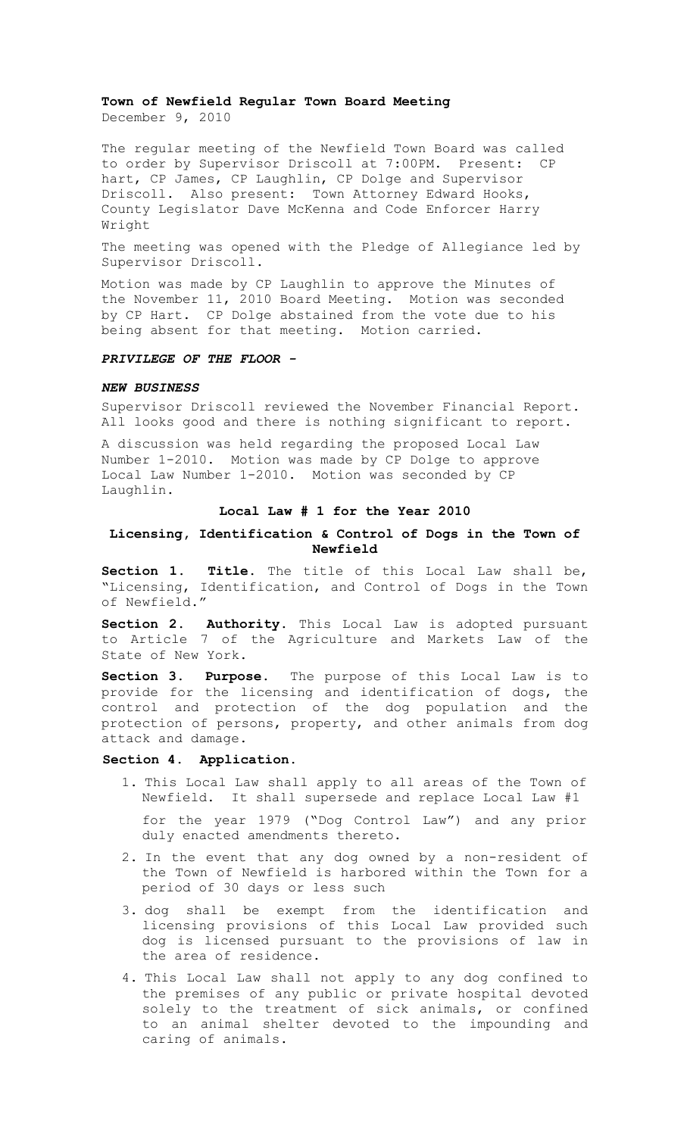### **Town of Newfield Regular Town Board Meeting**

December 9, 2010

The regular meeting of the Newfield Town Board was called to order by Supervisor Driscoll at 7:00PM. Present: CP hart, CP James, CP Laughlin, CP Dolge and Supervisor Driscoll. Also present: Town Attorney Edward Hooks, County Legislator Dave McKenna and Code Enforcer Harry Wright

The meeting was opened with the Pledge of Allegiance led by Supervisor Driscoll.

Motion was made by CP Laughlin to approve the Minutes of the November 11, 2010 Board Meeting. Motion was seconded by CP Hart. CP Dolge abstained from the vote due to his being absent for that meeting. Motion carried.

### *PRIVILEGE OF THE FLOOR -*

#### *NEW BUSINESS*

Supervisor Driscoll reviewed the November Financial Report. All looks good and there is nothing significant to report.

A discussion was held regarding the proposed Local Law Number 1-2010. Motion was made by CP Dolge to approve Local Law Number 1-2010. Motion was seconded by CP Laughlin.

## **Local Law # 1 for the Year 2010**

# **Licensing, Identification & Control of Dogs in the Town of Newfield**

**Section 1. Title.** The title of this Local Law shall be, "Licensing, Identification, and Control of Dogs in the Town of Newfield."

**Section 2. Authority.** This Local Law is adopted pursuant to Article 7 of the Agriculture and Markets Law of the State of New York.

**Section 3. Purpose.** The purpose of this Local Law is to provide for the licensing and identification of dogs, the control and protection of the dog population and the protection of persons, property, and other animals from dog attack and damage.

#### **Section 4. Application.**

- 1. This Local Law shall apply to all areas of the Town of Newfield. It shall supersede and replace Local Law #1 for the year 1979 ("Dog Control Law") and any prior duly enacted amendments thereto.
- 2. In the event that any dog owned by a non-resident of the Town of Newfield is harbored within the Town for a period of 30 days or less such
- 3. dog shall be exempt from the identification and licensing provisions of this Local Law provided such dog is licensed pursuant to the provisions of law in the area of residence.
- 4. This Local Law shall not apply to any dog confined to the premises of any public or private hospital devoted solely to the treatment of sick animals, or confined to an animal shelter devoted to the impounding and caring of animals.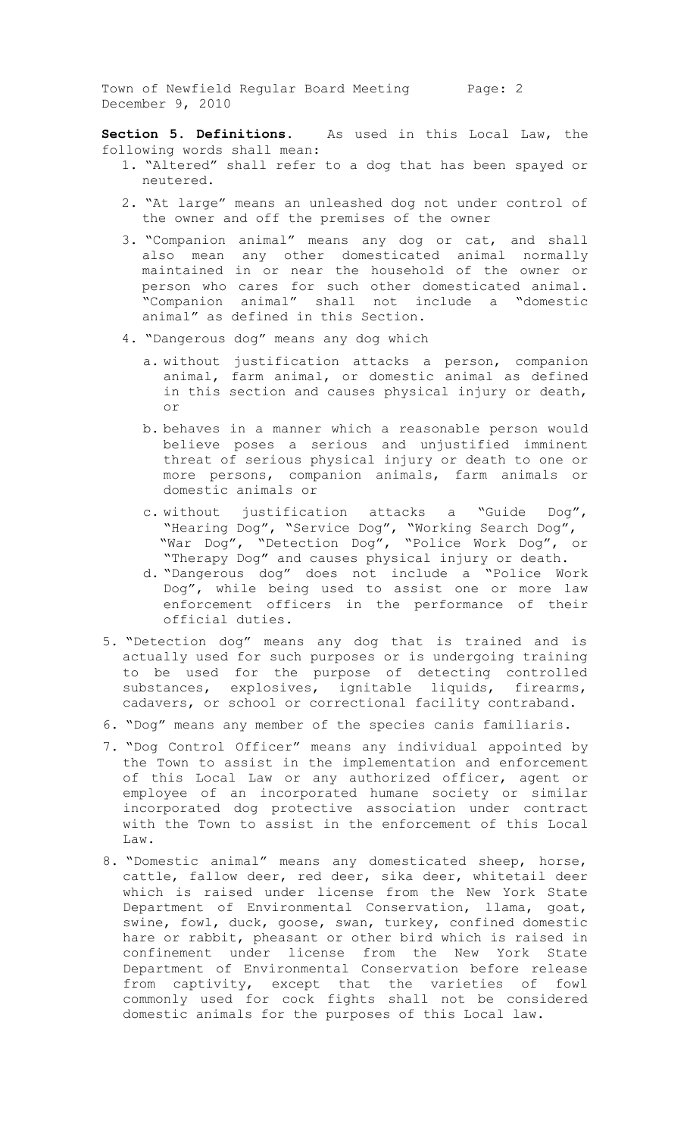Town of Newfield Regular Board Meeting Page: 2 December 9, 2010

**Section 5. Definitions.** As used in this Local Law, the following words shall mean:

- 1. "Altered" shall refer to a dog that has been spayed or neutered.
- 2. "At large" means an unleashed dog not under control of the owner and off the premises of the owner
- 3. "Companion animal" means any dog or cat, and shall also mean any other domesticated animal normally maintained in or near the household of the owner or person who cares for such other domesticated animal. "Companion animal" shall not include a "domestic animal" as defined in this Section.
- 4. "Dangerous dog" means any dog which
	- a. without justification attacks a person, companion animal, farm animal, or domestic animal as defined in this section and causes physical injury or death, or
	- b. behaves in a manner which a reasonable person would believe poses a serious and unjustified imminent threat of serious physical injury or death to one or more persons, companion animals, farm animals or domestic animals or
	- c. without justification attacks a "Guide Dog", "Hearing Dog", "Service Dog", "Working Search Dog", "War Dog", "Detection Dog", "Police Work Dog", or "Therapy Dog**"** and causes physical injury or death.
	- d. "Dangerous dog" does not include a "Police Work Dog", while being used to assist one or more law enforcement officers in the performance of their official duties.
- 5. "Detection dog" means any dog that is trained and is actually used for such purposes or is undergoing training to be used for the purpose of detecting controlled substances, explosives, ignitable liquids, firearms, cadavers, or school or correctional facility contraband.
- 6. "Dog" means any member of the species canis familiaris.
- 7. "Dog Control Officer" means any individual appointed by the Town to assist in the implementation and enforcement of this Local Law or any authorized officer, agent or employee of an incorporated humane society or similar incorporated dog protective association under contract with the Town to assist in the enforcement of this Local Law.
- 8. "Domestic animal" means any domesticated sheep, horse, cattle, fallow deer, red deer, sika deer, whitetail deer which is raised under license from the New York State Department of Environmental Conservation, llama, goat, swine, fowl, duck, goose, swan, turkey, confined domestic hare or rabbit, pheasant or other bird which is raised in confinement under license from the New York State Department of Environmental Conservation before release from captivity, except that the varieties of fowl commonly used for cock fights shall not be considered domestic animals for the purposes of this Local law.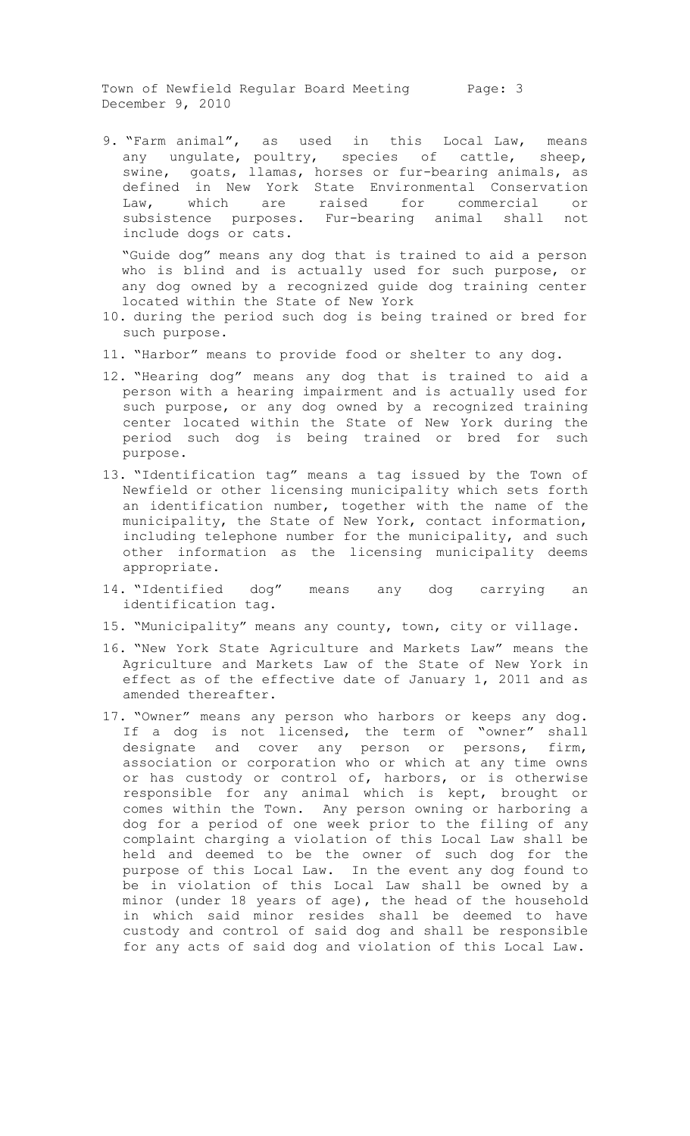Town of Newfield Regular Board Meeting Page: 3 December 9, 2010

9. "Farm animal**"**, as used in this Local Law, means any ungulate, poultry, species of cattle, sheep, swine, goats, llamas, horses or fur-bearing animals, as defined in New York State Environmental Conservation Law, which are raised for commercial or subsistence purposes. Fur-bearing animal shall not include dogs or cats.

"Guide dog" means any dog that is trained to aid a person who is blind and is actually used for such purpose, or any dog owned by a recognized guide dog training center located within the State of New York

- 10. during the period such dog is being trained or bred for such purpose.
- 11. "Harbor" means to provide food or shelter to any dog.
- 12. "Hearing dog" means any dog that is trained to aid a person with a hearing impairment and is actually used for such purpose, or any dog owned by a recognized training center located within the State of New York during the period such dog is being trained or bred for such purpose.
- 13. "Identification tag" means a tag issued by the Town of Newfield or other licensing municipality which sets forth an identification number, together with the name of the municipality, the State of New York, contact information, including telephone number for the municipality, and such other information as the licensing municipality deems appropriate.
- 14. "Identified dog" means any dog carrying an identification tag.
- 15. "Municipality" means any county, town, city or village.
- 16. "New York State Agriculture and Markets Law" means the Agriculture and Markets Law of the State of New York in effect as of the effective date of January 1, 2011 and as amended thereafter.
- 17. "Owner" means any person who harbors or keeps any dog. If a dog is not licensed, the term of "owner" shall designate and cover any person or persons, firm, association or corporation who or which at any time owns or has custody or control of, harbors, or is otherwise responsible for any animal which is kept, brought or comes within the Town. Any person owning or harboring a dog for a period of one week prior to the filing of any complaint charging a violation of this Local Law shall be held and deemed to be the owner of such dog for the purpose of this Local Law. In the event any dog found to be in violation of this Local Law shall be owned by a minor (under 18 years of age), the head of the household in which said minor resides shall be deemed to have custody and control of said dog and shall be responsible for any acts of said dog and violation of this Local Law.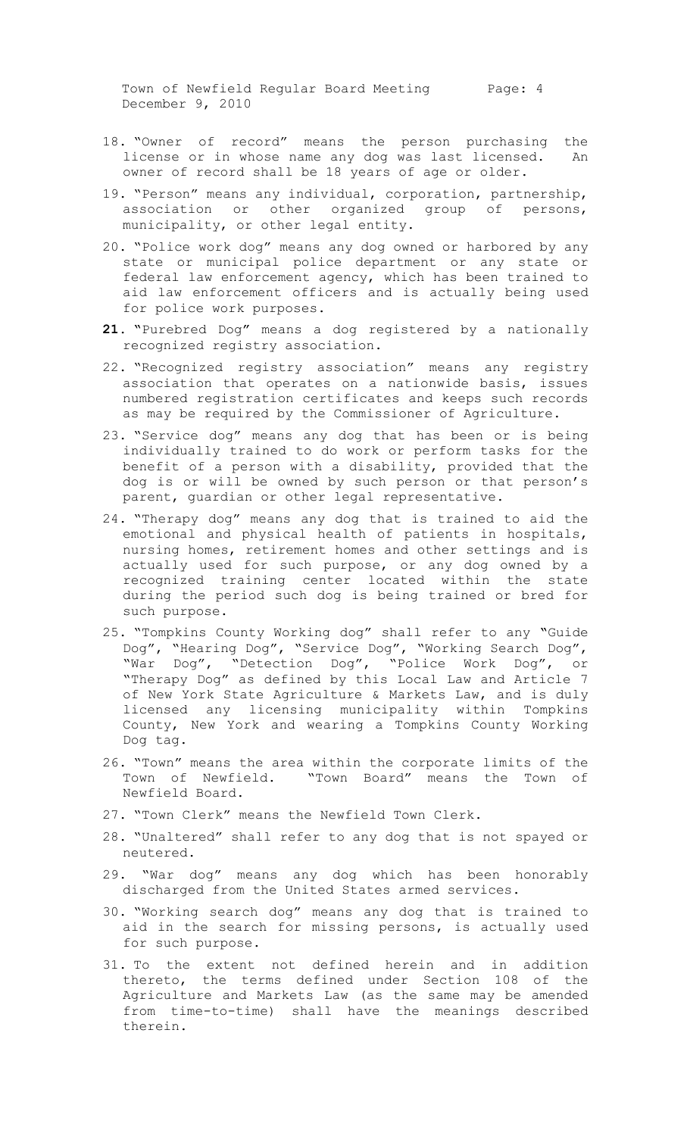Town of Newfield Regular Board Meeting Page: 4 December 9, 2010

- 18. "Owner of record" means the person purchasing the license or in whose name any dog was last licensed. An owner of record shall be 18 years of age or older.
- 19. "Person" means any individual, corporation, partnership, association or other organized group of persons, municipality, or other legal entity.
- 20. "Police work dog" means any dog owned or harbored by any state or municipal police department or any state or federal law enforcement agency, which has been trained to aid law enforcement officers and is actually being used for police work purposes.
- **21. "**Purebred Dog**"** means a dog registered by a nationally recognized registry association.
- 22. "Recognized registry association" means any registry association that operates on a nationwide basis, issues numbered registration certificates and keeps such records as may be required by the Commissioner of Agriculture.
- 23. "Service dog" means any dog that has been or is being individually trained to do work or perform tasks for the benefit of a person with a disability, provided that the dog is or will be owned by such person or that person's parent, guardian or other legal representative.
- 24. "Therapy dog" means any dog that is trained to aid the emotional and physical health of patients in hospitals, nursing homes, retirement homes and other settings and is actually used for such purpose, or any dog owned by a recognized training center located within the state during the period such dog is being trained or bred for such purpose.
- 25. "Tompkins County Working dog" shall refer to any **"**Guide Dog", "Hearing Dog", "Service Dog", "Working Search Dog", "War Dog", "Detection Dog", "Police Work Dog", or "Therapy Dog" as defined by this Local Law and Article 7 of New York State Agriculture & Markets Law, and is duly licensed any licensing municipality within Tompkins County, New York and wearing a Tompkins County Working Dog tag.
- 26. "Town" means the area within the corporate limits of the Town of Newfield. "Town Board" means the Town of Newfield Board.
- 27. "Town Clerk" means the Newfield Town Clerk.
- 28. "Unaltered" shall refer to any dog that is not spayed or neutered.
- 29. "War dog" means any dog which has been honorably discharged from the United States armed services.
- 30. "Working search dog" means any dog that is trained to aid in the search for missing persons, is actually used for such purpose.
- 31. To the extent not defined herein and in addition thereto, the terms defined under Section 108 of the Agriculture and Markets Law (as the same may be amended from time-to-time) shall have the meanings described therein.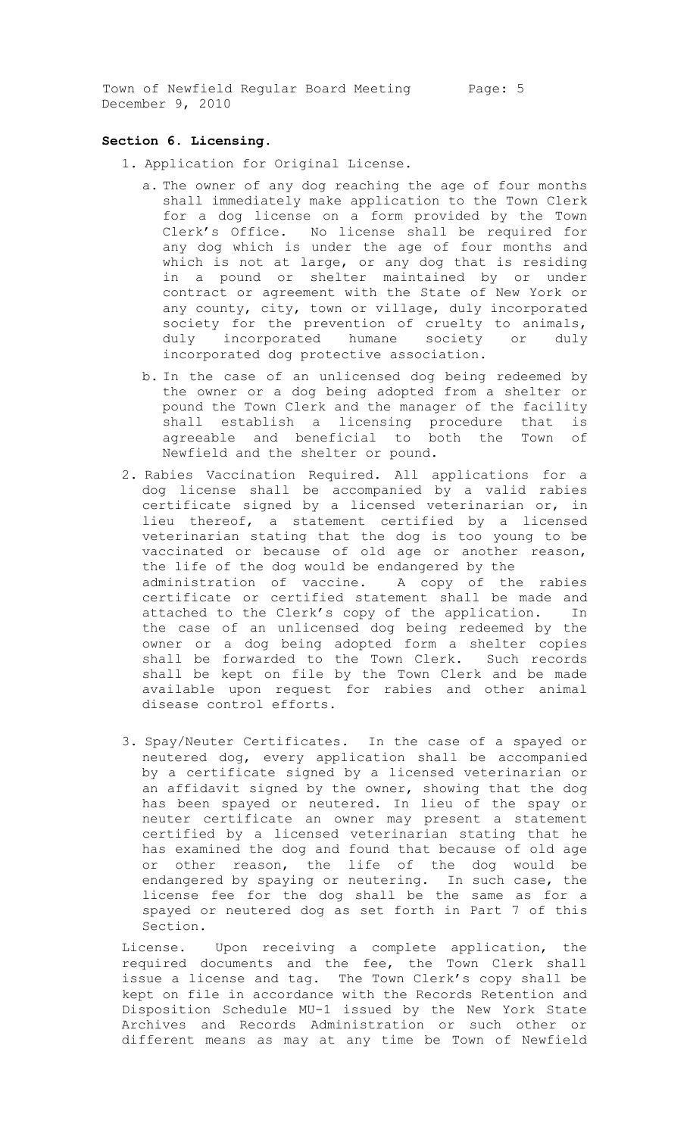Town of Newfield Regular Board Meeting Page: 5 December 9, 2010

# **Section 6. Licensing.**

- 1. Application for Original License.
	- a. The owner of any dog reaching the age of four months shall immediately make application to the Town Clerk for a dog license on a form provided by the Town Clerk's Office. No license shall be required for any dog which is under the age of four months and which is not at large, or any dog that is residing in a pound or shelter maintained by or under contract or agreement with the State of New York or any county, city, town or village, duly incorporated society for the prevention of cruelty to animals, duly incorporated humane society or duly incorporated dog protective association.
	- b. In the case of an unlicensed dog being redeemed by the owner or a dog being adopted from a shelter or pound the Town Clerk and the manager of the facility shall establish a licensing procedure that is agreeable and beneficial to both the Town of Newfield and the shelter or pound.
- 2. Rabies Vaccination Required. All applications for a dog license shall be accompanied by a valid rabies certificate signed by a licensed veterinarian or, in lieu thereof, a statement certified by a licensed veterinarian stating that the dog is too young to be vaccinated or because of old age or another reason, the life of the dog would be endangered by the administration of vaccine. A copy of the rabies certificate or certified statement shall be made and attached to the Clerk's copy of the application. In the case of an unlicensed dog being redeemed by the owner or a dog being adopted form a shelter copies shall be forwarded to the Town Clerk. Such records shall be kept on file by the Town Clerk and be made available upon request for rabies and other animal disease control efforts.
- 3. Spay/Neuter Certificates**.** In the case of a spayed or neutered dog, every application shall be accompanied by a certificate signed by a licensed veterinarian or an affidavit signed by the owner, showing that the dog has been spayed or neutered. In lieu of the spay or neuter certificate an owner may present a statement certified by a licensed veterinarian stating that he has examined the dog and found that because of old age or other reason, the life of the dog would be endangered by spaying or neutering. In such case, the license fee for the dog shall be the same as for a spayed or neutered dog as set forth in Part 7 of this Section.

License**.** Upon receiving a complete application, the required documents and the fee, the Town Clerk shall issue a license and tag. The Town Clerk's copy shall be kept on file in accordance with the Records Retention and Disposition Schedule MU-1 issued by the New York State Archives and Records Administration or such other or different means as may at any time be Town of Newfield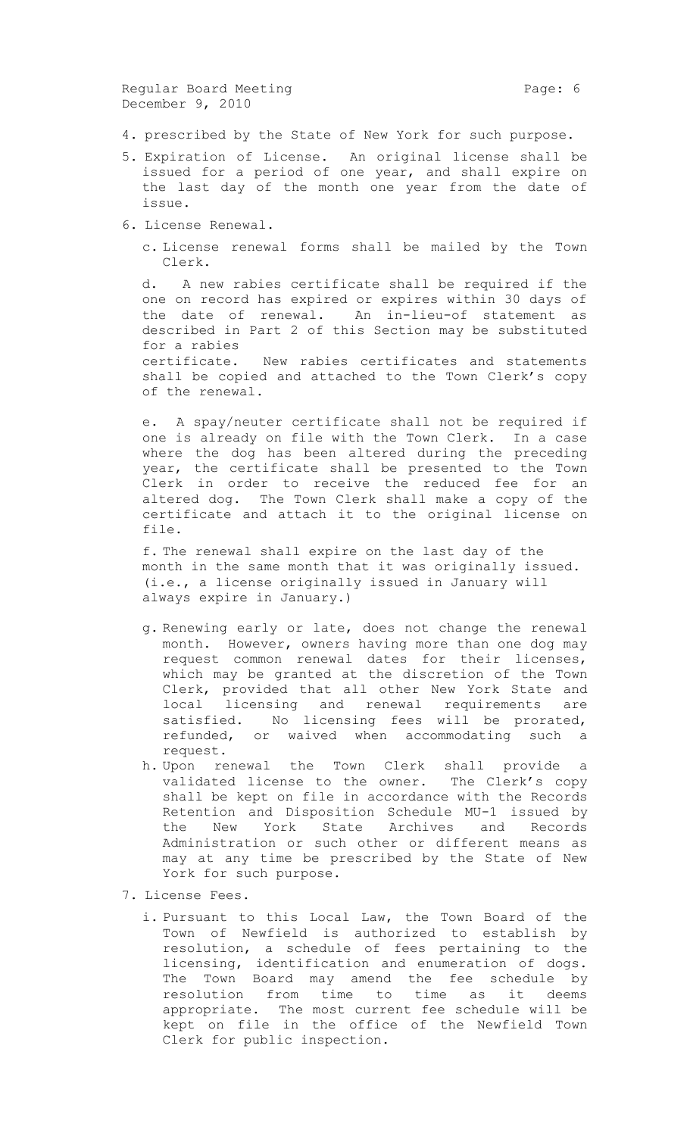Regular Board Meeting **Page: 6** Page: 6 December 9, 2010

- 4. prescribed by the State of New York for such purpose.
- 5. Expiration of License. An original license shall be issued for a period of one year, and shall expire on the last day of the month one year from the date of issue.
- 6. License Renewal.
	- c. License renewal forms shall be mailed by the Town Clerk.

d. A new rabies certificate shall be required if the one on record has expired or expires within 30 days of the date of renewal. An in-lieu-of statement as described in Part 2 of this Section may be substituted for a rabies certificate. New rabies certificates and statements

shall be copied and attached to the Town Clerk's copy of the renewal.

e. A spay/neuter certificate shall not be required if one is already on file with the Town Clerk. In a case where the dog has been altered during the preceding year, the certificate shall be presented to the Town Clerk in order to receive the reduced fee for an altered dog. The Town Clerk shall make a copy of the certificate and attach it to the original license on file.

f. The renewal shall expire on the last day of the month in the same month that it was originally issued. (i.e., a license originally issued in January will always expire in January.)

- g. Renewing early or late, does not change the renewal month. However, owners having more than one dog may request common renewal dates for their licenses, which may be granted at the discretion of the Town Clerk, provided that all other New York State and local licensing and renewal requirements are satisfied. No licensing fees will be prorated, refunded, or waived when accommodating such a request.
- h. Upon renewal the Town Clerk shall provide a validated license to the owner. The Clerk's copy shall be kept on file in accordance with the Records Retention and Disposition Schedule MU-1 issued by the New York State Archives and Records Administration or such other or different means as may at any time be prescribed by the State of New York for such purpose.
- 7. License Fees.
	- i. Pursuant to this Local Law, the Town Board of the Town of Newfield is authorized to establish by resolution, a schedule of fees pertaining to the licensing, identification and enumeration of dogs. The Town Board may amend the fee schedule by resolution from time to time as it deems appropriate. The most current fee schedule will be kept on file in the office of the Newfield Town Clerk for public inspection.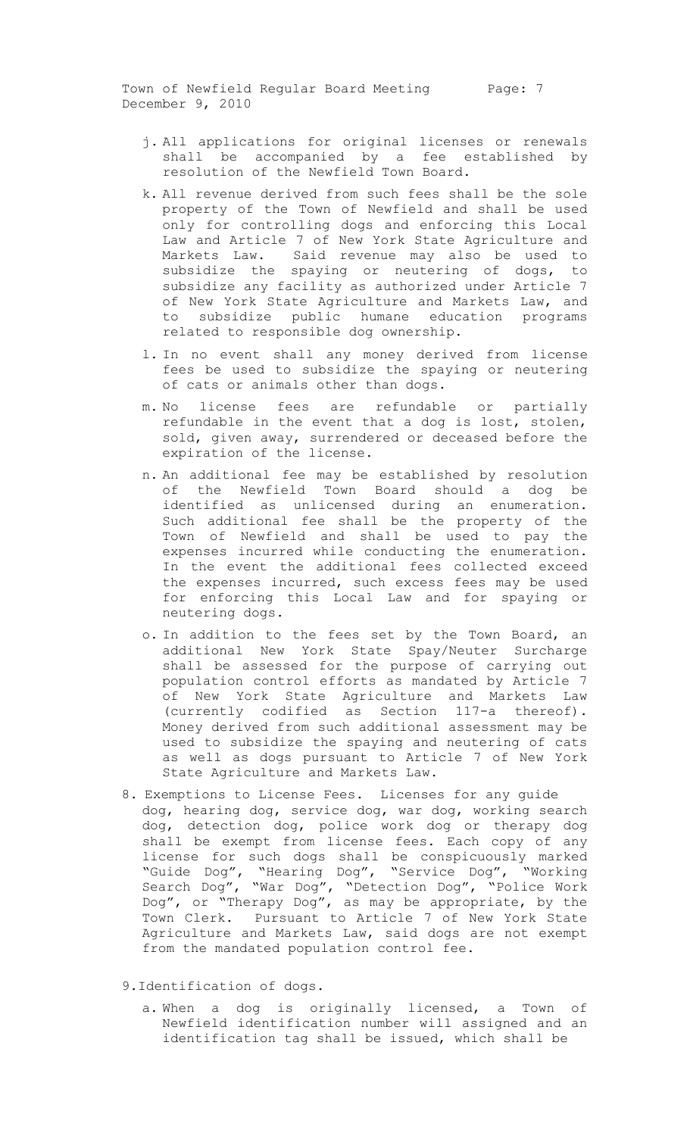Town of Newfield Regular Board Meeting Page: 7 December 9, 2010

- j. All applications for original licenses or renewals shall be accompanied by a fee established by resolution of the Newfield Town Board.
- k. All revenue derived from such fees shall be the sole property of the Town of Newfield and shall be used only for controlling dogs and enforcing this Local Law and Article 7 of New York State Agriculture and Markets Law. Said revenue may also be used to subsidize the spaying or neutering of dogs, to subsidize any facility as authorized under Article 7 of New York State Agriculture and Markets Law, and to subsidize public humane education programs related to responsible dog ownership.
- l. In no event shall any money derived from license fees be used to subsidize the spaying or neutering of cats or animals other than dogs.
- m. No license fees are refundable or partially refundable in the event that a dog is lost, stolen, sold, given away, surrendered or deceased before the expiration of the license.
- n. An additional fee may be established by resolution of the Newfield Town Board should a dog be identified as unlicensed during an enumeration. Such additional fee shall be the property of the Town of Newfield and shall be used to pay the expenses incurred while conducting the enumeration. In the event the additional fees collected exceed the expenses incurred, such excess fees may be used for enforcing this Local Law and for spaying or neutering dogs.
- o. In addition to the fees set by the Town Board, an additional New York State Spay/Neuter Surcharge shall be assessed for the purpose of carrying out population control efforts as mandated by Article 7 of New York State Agriculture and Markets Law (currently codified as Section 117-a thereof). Money derived from such additional assessment may be used to subsidize the spaying and neutering of cats as well as dogs pursuant to Article 7 of New York State Agriculture and Markets Law.
- 8. Exemptions to License Fees. Licenses for any guide dog, hearing dog, service dog, war dog, working search dog, detection dog, police work dog or therapy dog shall be exempt from license fees. Each copy of any license for such dogs shall be conspicuously marked "Guide Dog", "Hearing Dog", "Service Dog", "Working Search Dog", "War Dog", "Detection Dog", "Police Work Dog", or "Therapy Dog", as may be appropriate, by the Town Clerk. Pursuant to Article 7 of New York State Agriculture and Markets Law, said dogs are not exempt from the mandated population control fee.

9.Identification of dogs.

a. When a dog is originally licensed, a Town of Newfield identification number will assigned and an identification tag shall be issued, which shall be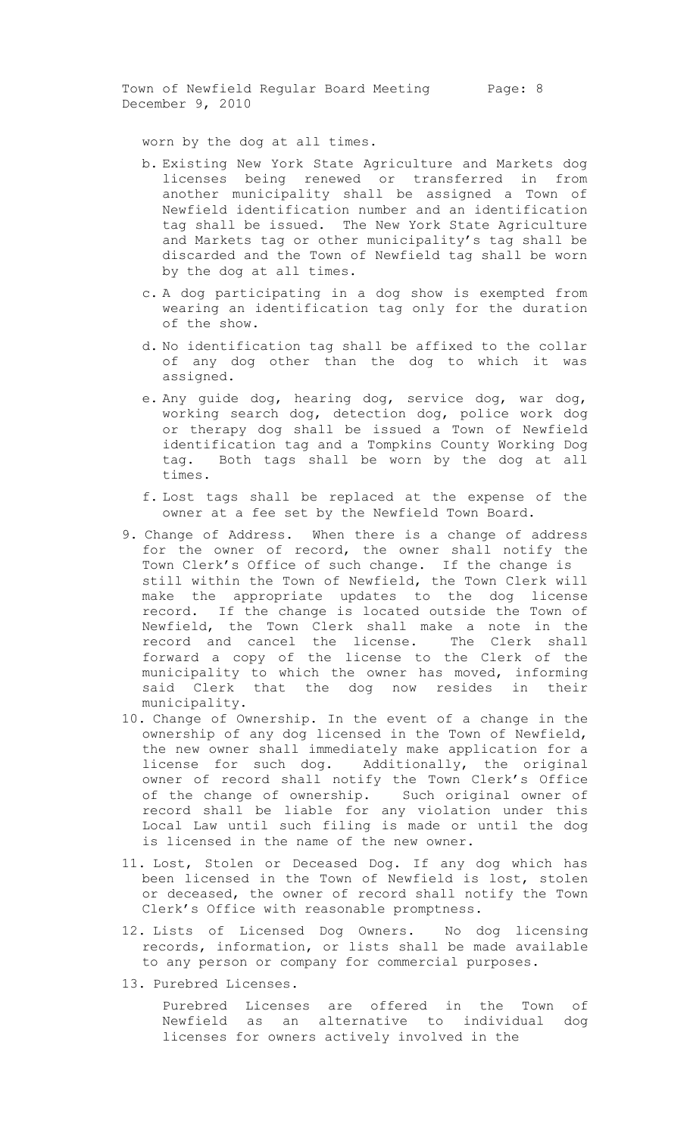Town of Newfield Regular Board Meeting Page: 8 December 9, 2010

worn by the dog at all times.

- b. Existing New York State Agriculture and Markets dog licenses being renewed or transferred in from another municipality shall be assigned a Town of Newfield identification number and an identification tag shall be issued. The New York State Agriculture and Markets tag or other municipality's tag shall be discarded and the Town of Newfield tag shall be worn by the dog at all times.
- c. A dog participating in a dog show is exempted from wearing an identification tag only for the duration of the show.
- d. No identification tag shall be affixed to the collar of any dog other than the dog to which it was assigned.
- e. Any guide dog, hearing dog, service dog, war dog, working search dog, detection dog, police work dog or therapy dog shall be issued a Town of Newfield identification tag and a Tompkins County Working Dog tag. Both tags shall be worn by the dog at all times.
- f. Lost tags shall be replaced at the expense of the owner at a fee set by the Newfield Town Board.
- 9. Change of Address.When there is a change of address for the owner of record, the owner shall notify the Town Clerk's Office of such change. If the change is still within the Town of Newfield, the Town Clerk will make the appropriate updates to the dog license record. If the change is located outside the Town of Newfield, the Town Clerk shall make a note in the record and cancel the license. The Clerk shall forward a copy of the license to the Clerk of the municipality to which the owner has moved, informing said Clerk that the dog now resides in their municipality.
- 10. Change of Ownership. In the event of a change in the ownership of any dog licensed in the Town of Newfield, the new owner shall immediately make application for a license for such dog. Additionally, the original owner of record shall notify the Town Clerk's Office of the change of ownership. Such original owner of record shall be liable for any violation under this Local Law until such filing is made or until the dog is licensed in the name of the new owner.
- 11. Lost, Stolen or Deceased Dog. If any dog which has been licensed in the Town of Newfield is lost, stolen or deceased, the owner of record shall notify the Town Clerk's Office with reasonable promptness.
- 12. Lists of Licensed Dog Owners. No dog licensing records, information, or lists shall be made available to any person or company for commercial purposes.
- 13. Purebred Licenses.

Purebred Licenses are offered in the Town of Newfield as an alternative to individual dog licenses for owners actively involved in the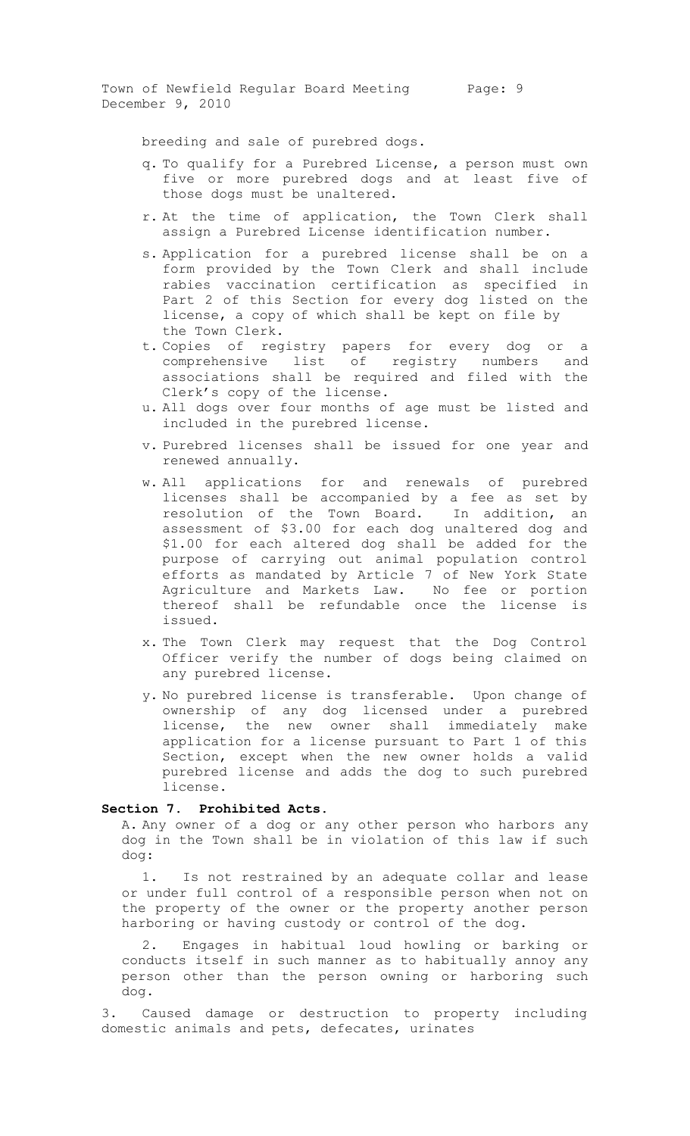Town of Newfield Regular Board Meeting Page: 9 December 9, 2010

breeding and sale of purebred dogs.

- q. To qualify for a Purebred License, a person must own five or more purebred dogs and at least five of those dogs must be unaltered.
- r. At the time of application, the Town Clerk shall assign a Purebred License identification number.
- s. Application for a purebred license shall be on a form provided by the Town Clerk and shall include rabies vaccination certification as specified in Part 2 of this Section for every dog listed on the license, a copy of which shall be kept on file by the Town Clerk.
- t. Copies of registry papers for every dog or a comprehensive list of registry numbers and associations shall be required and filed with the Clerk's copy of the license.
- u. All dogs over four months of age must be listed and included in the purebred license.
- v. Purebred licenses shall be issued for one year and renewed annually.
- w. All applications for and renewals of purebred licenses shall be accompanied by a fee as set by resolution of the Town Board. In addition, an assessment of \$3.00 for each dog unaltered dog and \$1.00 for each altered dog shall be added for the purpose of carrying out animal population control efforts as mandated by Article 7 of New York State Agriculture and Markets Law. No fee or portion thereof shall be refundable once the license is issued.
- x. The Town Clerk may request that the Dog Control Officer verify the number of dogs being claimed on any purebred license.
- y. No purebred license is transferable. Upon change of ownership of any dog licensed under a purebred license, the new owner shall immediately make application for a license pursuant to Part 1 of this Section, except when the new owner holds a valid purebred license and adds the dog to such purebred license.

### **Section 7. Prohibited Acts.**

A. Any owner of a dog or any other person who harbors any dog in the Town shall be in violation of this law if such dog:

1. Is not restrained by an adequate collar and lease or under full control of a responsible person when not on the property of the owner or the property another person harboring or having custody or control of the dog.

2. Engages in habitual loud howling or barking or conducts itself in such manner as to habitually annoy any person other than the person owning or harboring such dog.

3. Caused damage or destruction to property including domestic animals and pets, defecates, urinates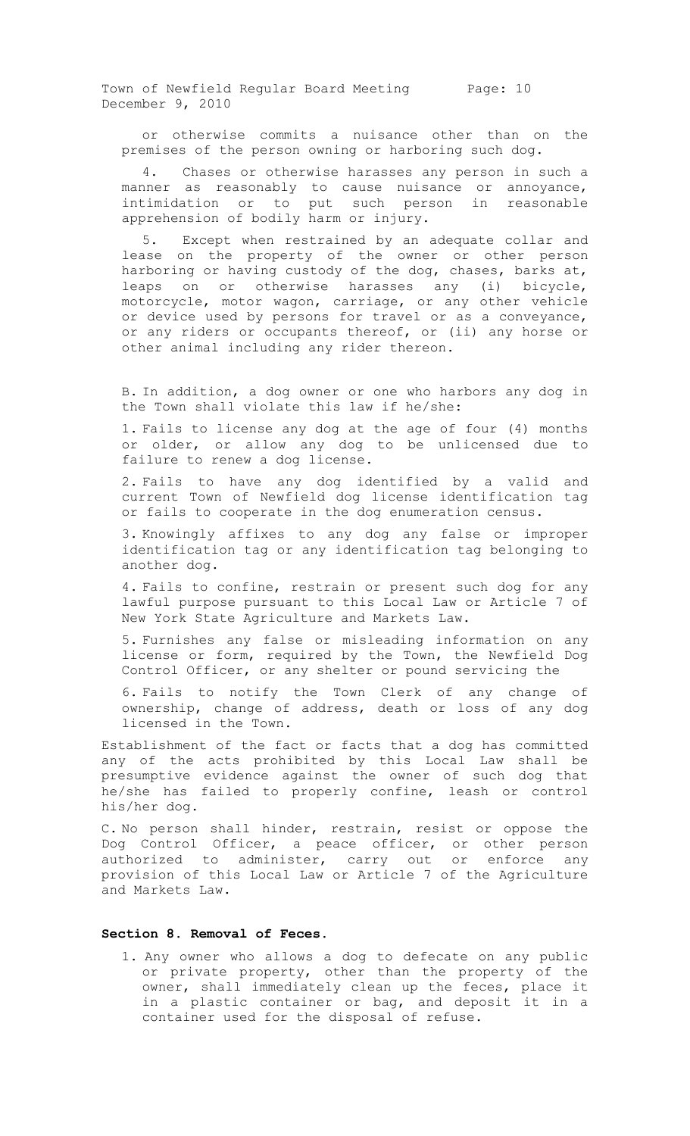Town of Newfield Regular Board Meeting Page: 10 December 9, 2010

or otherwise commits a nuisance other than on the premises of the person owning or harboring such dog.

4. Chases or otherwise harasses any person in such a manner as reasonably to cause nuisance or annoyance, intimidation or to put such person in reasonable apprehension of bodily harm or injury.

5. Except when restrained by an adequate collar and lease on the property of the owner or other person harboring or having custody of the dog, chases, barks at, leaps on or otherwise harasses any (i) bicycle, motorcycle, motor wagon, carriage, or any other vehicle or device used by persons for travel or as a conveyance, or any riders or occupants thereof, or (ii) any horse or other animal including any rider thereon.

B. In addition, a dog owner or one who harbors any dog in the Town shall violate this law if he/she:

1. Fails to license any dog at the age of four (4) months or older, or allow any dog to be unlicensed due to failure to renew a dog license.

2. Fails to have any dog identified by a valid and current Town of Newfield dog license identification tag or fails to cooperate in the dog enumeration census.

3. Knowingly affixes to any dog any false or improper identification tag or any identification tag belonging to another dog.

4. Fails to confine, restrain or present such dog for any lawful purpose pursuant to this Local Law or Article 7 of New York State Agriculture and Markets Law.

5. Furnishes any false or misleading information on any license or form, required by the Town, the Newfield Dog Control Officer, or any shelter or pound servicing the

6. Fails to notify the Town Clerk of any change of ownership, change of address, death or loss of any dog licensed in the Town.

Establishment of the fact or facts that a dog has committed any of the acts prohibited by this Local Law shall be presumptive evidence against the owner of such dog that he/she has failed to properly confine, leash or control his/her dog.

C. No person shall hinder, restrain, resist or oppose the Dog Control Officer, a peace officer, or other person authorized to administer, carry out or enforce any provision of this Local Law or Article 7 of the Agriculture and Markets Law.

# **Section 8. Removal of Feces.**

1. Any owner who allows a dog to defecate on any public or private property, other than the property of the owner, shall immediately clean up the feces, place it in a plastic container or bag, and deposit it in a container used for the disposal of refuse.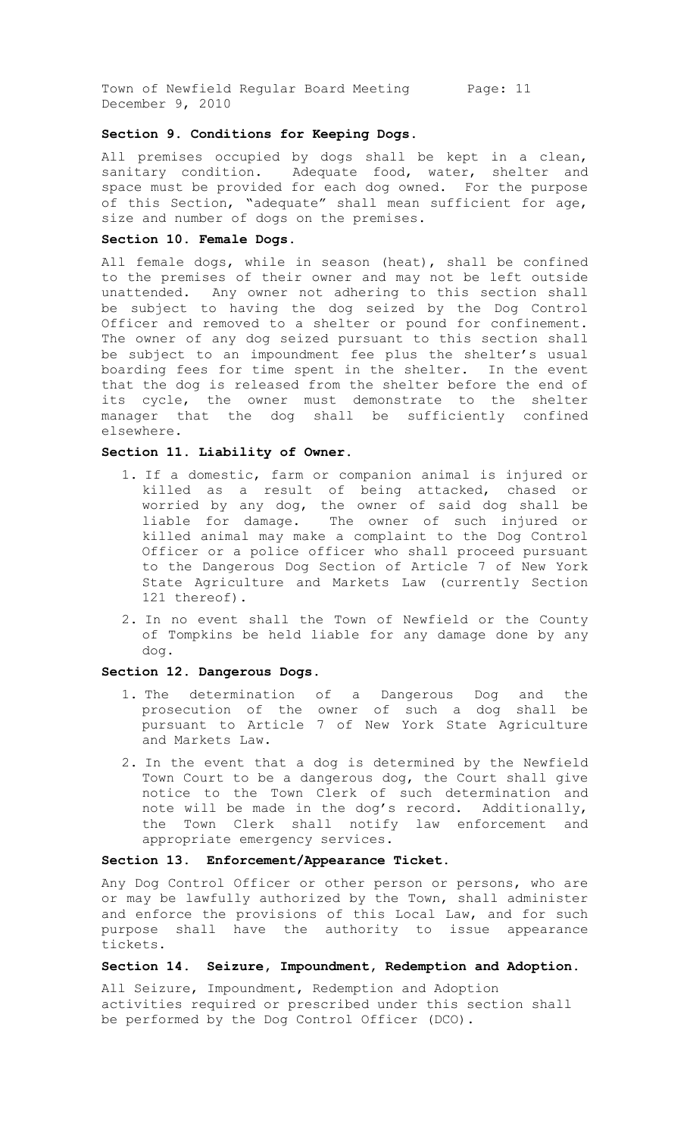Town of Newfield Regular Board Meeting Page: 11 December 9, 2010

### **Section 9. Conditions for Keeping Dogs.**

All premises occupied by dogs shall be kept in a clean, sanitary condition. Adequate food, water, shelter and space must be provided for each dog owned. For the purpose of this Section, "adequate" shall mean sufficient for age, size and number of dogs on the premises.

# **Section 10. Female Dogs.**

All female dogs, while in season (heat), shall be confined to the premises of their owner and may not be left outside unattended. Any owner not adhering to this section shall be subject to having the dog seized by the Dog Control Officer and removed to a shelter or pound for confinement. The owner of any dog seized pursuant to this section shall be subject to an impoundment fee plus the shelter's usual boarding fees for time spent in the shelter. In the event that the dog is released from the shelter before the end of its cycle, the owner must demonstrate to the shelter manager that the dog shall be sufficiently confined elsewhere.

# **Section 11. Liability of Owner.**

- 1. If a domestic, farm or companion animal is injured or killed as a result of being attacked, chased or worried by any dog, the owner of said dog shall be liable for damage. The owner of such injured or killed animal may make a complaint to the Dog Control Officer or a police officer who shall proceed pursuant to the Dangerous Dog Section of Article 7 of New York State Agriculture and Markets Law (currently Section 121 thereof).
- 2. In no event shall the Town of Newfield or the County of Tompkins be held liable for any damage done by any dog.

### **Section 12. Dangerous Dogs.**

- 1. The determination of a Dangerous Dog and the prosecution of the owner of such a dog shall be pursuant to Article 7 of New York State Agriculture and Markets Law.
- 2. In the event that a dog is determined by the Newfield Town Court to be a dangerous dog, the Court shall give notice to the Town Clerk of such determination and note will be made in the dog's record. Additionally, the Town Clerk shall notify law enforcement and appropriate emergency services.

# **Section 13. Enforcement/Appearance Ticket.**

Any Dog Control Officer or other person or persons, who are or may be lawfully authorized by the Town, shall administer and enforce the provisions of this Local Law, and for such purpose shall have the authority to issue appearance tickets.

# **Section 14. Seizure, Impoundment, Redemption and Adoption.**

All Seizure, Impoundment, Redemption and Adoption activities required or prescribed under this section shall be performed by the Dog Control Officer (DCO).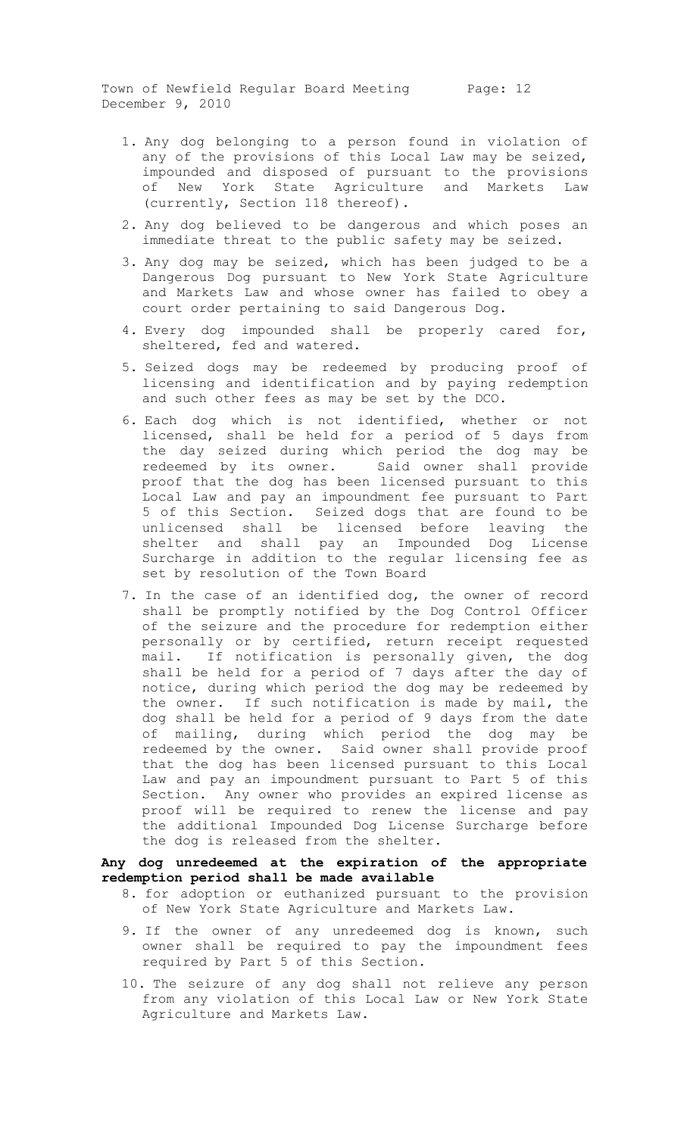Town of Newfield Regular Board Meeting Page: 12 December 9, 2010

- 1. Any dog belonging to a person found in violation of any of the provisions of this Local Law may be seized, impounded and disposed of pursuant to the provisions of New York State Agriculture and Markets Law (currently, Section 118 thereof).
- 2. Any dog believed to be dangerous and which poses an immediate threat to the public safety may be seized.
- 3. Any dog may be seized, which has been judged to be a Dangerous Dog pursuant to New York State Agriculture and Markets Law and whose owner has failed to obey a court order pertaining to said Dangerous Dog.
- 4. Every dog impounded shall be properly cared for, sheltered, fed and watered.
- 5. Seized dogs may be redeemed by producing proof of licensing and identification and by paying redemption and such other fees as may be set by the DCO.
- 6. Each dog which is not identified, whether or not licensed, shall be held for a period of 5 days from the day seized during which period the dog may be redeemed by its owner. Said owner shall provide proof that the dog has been licensed pursuant to this Local Law and pay an impoundment fee pursuant to Part 5 of this Section. Seized dogs that are found to be unlicensed shall be licensed before leaving the shelter and shall pay an Impounded Dog License Surcharge in addition to the regular licensing fee as set by resolution of the Town Board
- 7. In the case of an identified dog, the owner of record shall be promptly notified by the Dog Control Officer of the seizure and the procedure for redemption either personally or by certified, return receipt requested mail. If notification is personally given, the dog shall be held for a period of 7 days after the day of notice, during which period the dog may be redeemed by the owner. If such notification is made by mail, the dog shall be held for a period of 9 days from the date of mailing, during which period the dog may be redeemed by the owner. Said owner shall provide proof that the dog has been licensed pursuant to this Local Law and pay an impoundment pursuant to Part 5 of this Section. Any owner who provides an expired license as proof will be required to renew the license and pay the additional Impounded Dog License Surcharge before the dog is released from the shelter.

# **Any dog unredeemed at the expiration of the appropriate redemption period shall be made available**

- 8. for adoption or euthanized pursuant to the provision of New York State Agriculture and Markets Law.
- 9. If the owner of any unredeemed dog is known, such owner shall be required to pay the impoundment fees required by Part 5 of this Section.
- 10. The seizure of any dog shall not relieve any person from any violation of this Local Law or New York State Agriculture and Markets Law.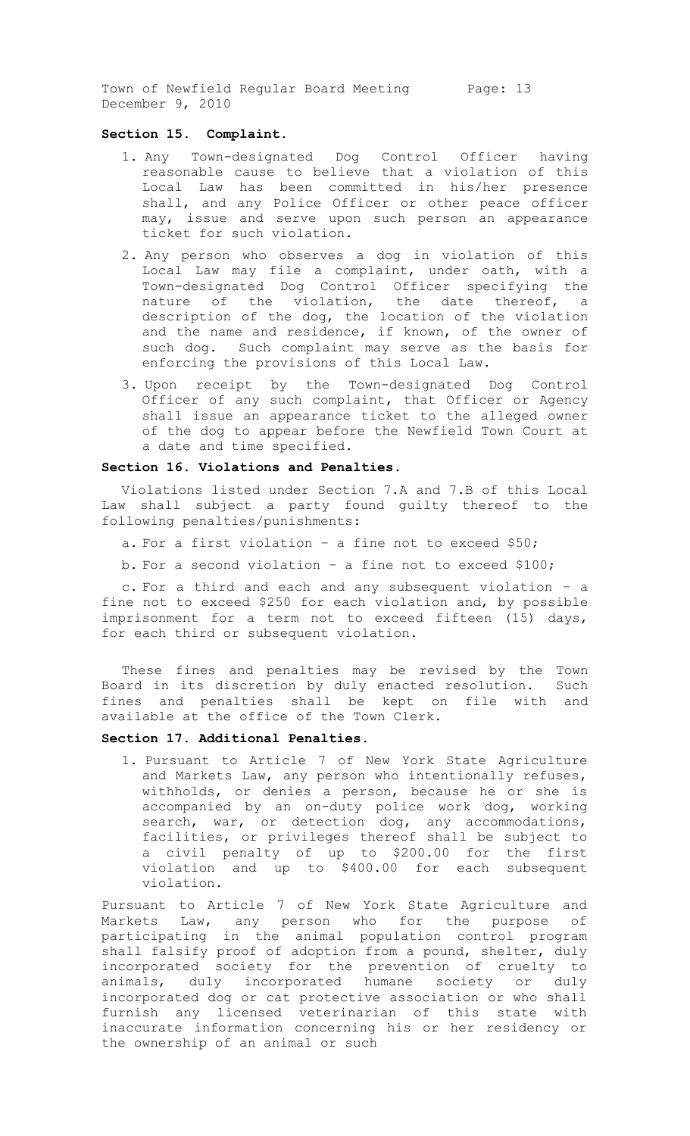Town of Newfield Regular Board Meeting Page: 13 December 9, 2010

### **Section 15. Complaint.**

- 1. Any Town-designated Dog Control Officer having reasonable cause to believe that a violation of this Local Law has been committed in his/her presence shall, and any Police Officer or other peace officer may, issue and serve upon such person an appearance ticket for such violation.
- 2. Any person who observes a dog in violation of this Local Law may file a complaint, under oath, with a Town-designated Dog Control Officer specifying the nature of the violation, the date thereof, a description of the dog, the location of the violation and the name and residence, if known, of the owner of such dog. Such complaint may serve as the basis for enforcing the provisions of this Local Law.
- 3. Upon receipt by the Town-designated Dog Control Officer of any such complaint, that Officer or Agency shall issue an appearance ticket to the alleged owner of the dog to appear before the Newfield Town Court at a date and time specified.

# **Section 16. Violations and Penalties.**

Violations listed under Section 7.A and 7.B of this Local Law shall subject a party found guilty thereof to the following penalties/punishments:

- a. For a first violation a fine not to exceed \$50;
- b. For a second violation a fine not to exceed \$100;

c. For a third and each and any subsequent violation – a fine not to exceed \$250 for each violation and, by possible imprisonment for a term not to exceed fifteen (15) days, for each third or subsequent violation.

These fines and penalties may be revised by the Town Board in its discretion by duly enacted resolution. Such fines and penalties shall be kept on file with and available at the office of the Town Clerk.

### **Section 17. Additional Penalties.**

1. Pursuant to Article 7 of New York State Agriculture and Markets Law, any person who intentionally refuses, withholds, or denies a person, because he or she is accompanied by an on-duty police work dog, working search, war, or detection dog, any accommodations, facilities, or privileges thereof shall be subject to a civil penalty of up to \$200.00 for the first violation and up to \$400.00 for each subsequent violation.

Pursuant to Article 7 of New York State Agriculture and Markets Law, any person who for the purpose of participating in the animal population control program shall falsify proof of adoption from a pound, shelter, duly incorporated society for the prevention of cruelty to animals, duly incorporated humane society or duly incorporated dog or cat protective association or who shall furnish any licensed veterinarian of this state with inaccurate information concerning his or her residency or the ownership of an animal or such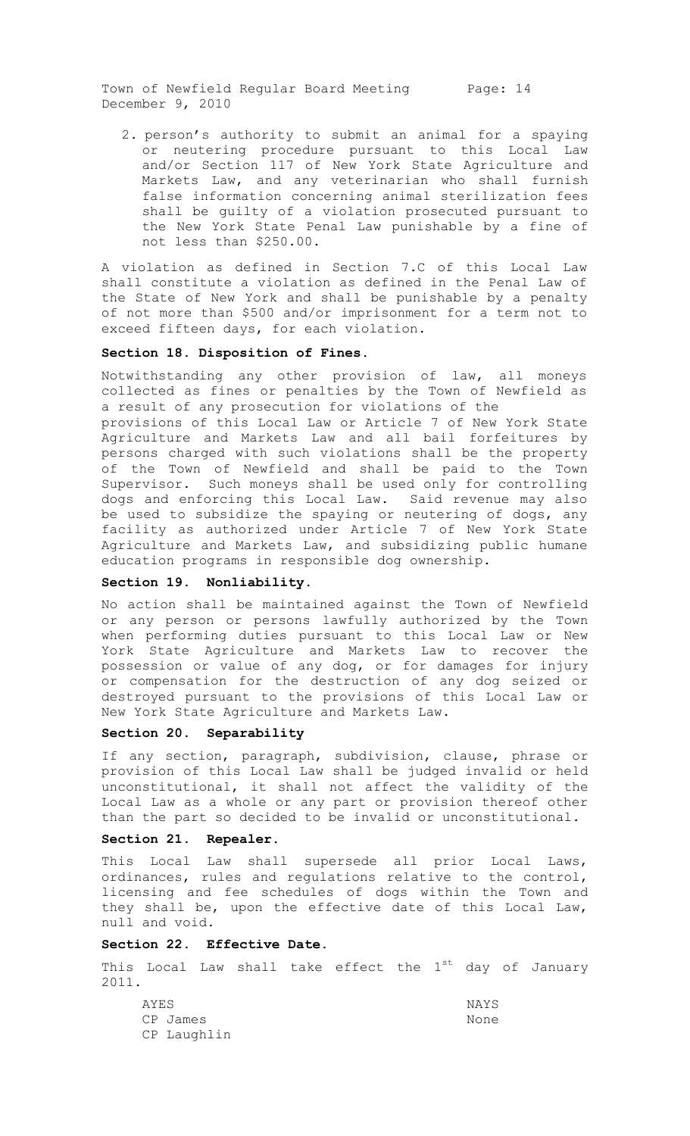Town of Newfield Regular Board Meeting Page: 14 December 9, 2010

2. person's authority to submit an animal for a spaying or neutering procedure pursuant to this Local Law and/or Section 117 of New York State Agriculture and Markets Law, and any veterinarian who shall furnish false information concerning animal sterilization fees shall be guilty of a violation prosecuted pursuant to the New York State Penal Law punishable by a fine of not less than \$250.00.

A violation as defined in Section 7.C of this Local Law shall constitute a violation as defined in the Penal Law of the State of New York and shall be punishable by a penalty of not more than \$500 and/or imprisonment for a term not to exceed fifteen days, for each violation.

# **Section 18. Disposition of Fines.**

Notwithstanding any other provision of law, all moneys collected as fines or penalties by the Town of Newfield as a result of any prosecution for violations of the

provisions of this Local Law or Article 7 of New York State Agriculture and Markets Law and all bail forfeitures by persons charged with such violations shall be the property of the Town of Newfield and shall be paid to the Town Supervisor. Such moneys shall be used only for controlling dogs and enforcing this Local Law. Said revenue may also be used to subsidize the spaying or neutering of dogs, any facility as authorized under Article 7 of New York State Agriculture and Markets Law, and subsidizing public humane education programs in responsible dog ownership.

#### **Section 19. Nonliability.**

No action shall be maintained against the Town of Newfield or any person or persons lawfully authorized by the Town when performing duties pursuant to this Local Law or New York State Agriculture and Markets Law to recover the possession or value of any dog, or for damages for injury or compensation for the destruction of any dog seized or destroyed pursuant to the provisions of this Local Law or New York State Agriculture and Markets Law.

#### **Section 20. Separability**

If any section, paragraph, subdivision, clause, phrase or provision of this Local Law shall be judged invalid or held unconstitutional, it shall not affect the validity of the Local Law as a whole or any part or provision thereof other than the part so decided to be invalid or unconstitutional.

# **Section 21. Repealer.**

This Local Law shall supersede all prior Local Laws, ordinances, rules and regulations relative to the control, licensing and fee schedules of dogs within the Town and they shall be, upon the effective date of this Local Law, null and void.

# **Section 22. Effective Date.**

This Local Law shall take effect the 1<sup>st</sup> day of January 2011.

| AYES |             | NAYS |
|------|-------------|------|
|      | CP James    | None |
|      | CP Laughlin |      |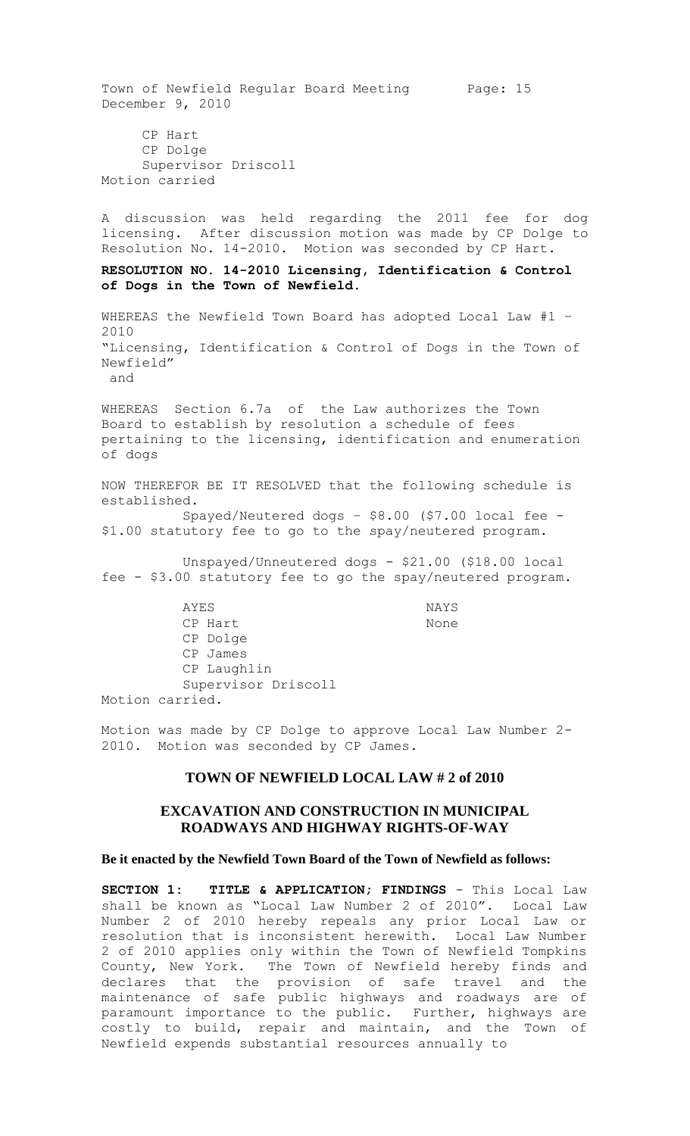Town of Newfield Regular Board Meeting Page: 15 December 9, 2010

CP Hart CP Dolge Supervisor Driscoll Motion carried

A discussion was held regarding the 2011 fee for dog licensing. After discussion motion was made by CP Dolge to Resolution No. 14-2010. Motion was seconded by CP Hart.

**RESOLUTION NO. 14-2010 Licensing, Identification & Control of Dogs in the Town of Newfield.**

WHEREAS the Newfield Town Board has adopted Local Law #1 – 2010 "Licensing, Identification & Control of Dogs in the Town of Newfield" and

WHEREAS Section 6.7a of the Law authorizes the Town Board to establish by resolution a schedule of fees pertaining to the licensing, identification and enumeration of dogs

NOW THEREFOR BE IT RESOLVED that the following schedule is established.

Spayed/Neutered dogs – \$8.00 (\$7.00 local fee - \$1.00 statutory fee to go to the spay/neutered program.

Unspayed/Unneutered dogs - \$21.00 (\$18.00 local fee - \$3.00 statutory fee to go the spay/neutered program.

AYES NAYS CP Hart None CP Dolge CP James CP Laughlin Supervisor Driscoll Motion carried.

Motion was made by CP Dolge to approve Local Law Number 2- 2010. Motion was seconded by CP James.

# **TOWN OF NEWFIELD LOCAL LAW # 2 of 2010**

# **EXCAVATION AND CONSTRUCTION IN MUNICIPAL ROADWAYS AND HIGHWAY RIGHTS-OF-WAY**

#### **Be it enacted by the Newfield Town Board of the Town of Newfield as follows:**

**SECTION 1: TITLE & APPLICATION; FINDINGS** - This Local Law shall be known as "Local Law Number 2 of 2010". Local Law Number 2 of 2010 hereby repeals any prior Local Law or resolution that is inconsistent herewith. Local Law Number 2 of 2010 applies only within the Town of Newfield Tompkins County, New York. The Town of Newfield hereby finds and declares that the provision of safe travel and the maintenance of safe public highways and roadways are of paramount importance to the public. Further, highways are costly to build, repair and maintain, and the Town of Newfield expends substantial resources annually to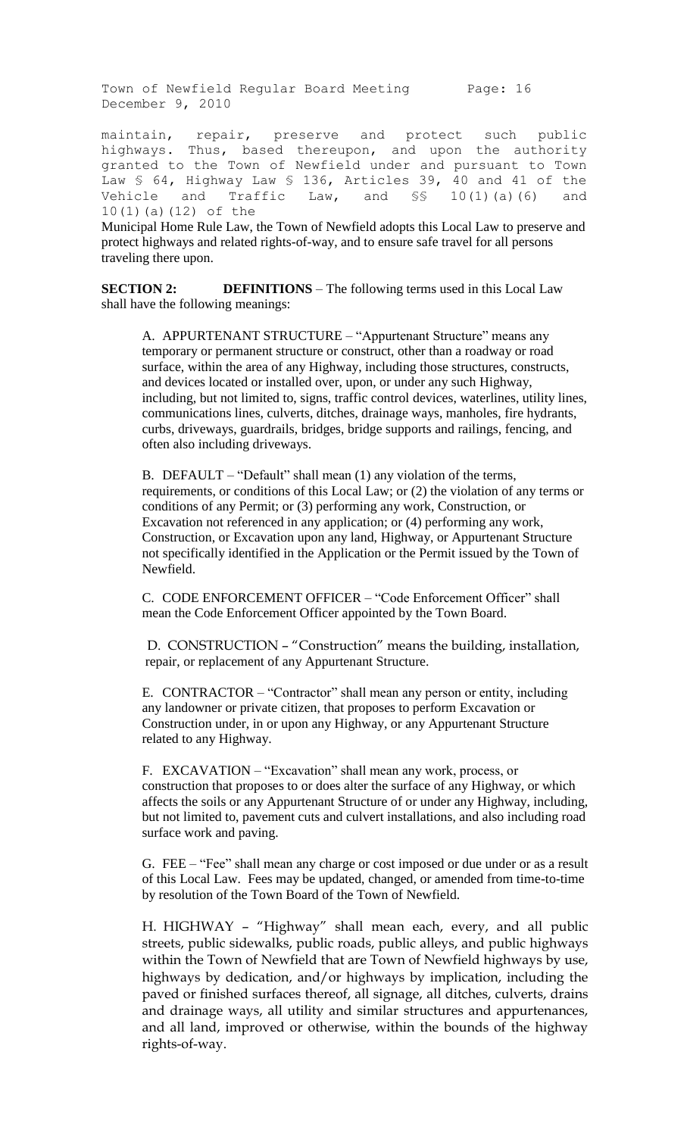Town of Newfield Regular Board Meeting Page: 16 December 9, 2010

maintain, repair, preserve and protect such public highways. Thus, based thereupon, and upon the authority granted to the Town of Newfield under and pursuant to Town Law § 64, Highway Law § 136, Articles 39, 40 and 41 of the<br>Vehicle and Traffic Law, and §§ 10(1)(a)(6) and Vehicle and Traffic Law, and SS 10(1)(a)(6) and 10(1)(a)(12) of the

Municipal Home Rule Law, the Town of Newfield adopts this Local Law to preserve and protect highways and related rights-of-way, and to ensure safe travel for all persons traveling there upon.

**SECTION 2: DEFINITIONS** – The following terms used in this Local Law shall have the following meanings:

A. APPURTENANT STRUCTURE – "Appurtenant Structure" means any temporary or permanent structure or construct, other than a roadway or road surface, within the area of any Highway, including those structures, constructs, and devices located or installed over, upon, or under any such Highway, including, but not limited to, signs, traffic control devices, waterlines, utility lines, communications lines, culverts, ditches, drainage ways, manholes, fire hydrants, curbs, driveways, guardrails, bridges, bridge supports and railings, fencing, and often also including driveways.

B. DEFAULT – "Default" shall mean (1) any violation of the terms, requirements, or conditions of this Local Law; or (2) the violation of any terms or conditions of any Permit; or (3) performing any work, Construction, or Excavation not referenced in any application; or (4) performing any work, Construction, or Excavation upon any land, Highway, or Appurtenant Structure not specifically identified in the Application or the Permit issued by the Town of Newfield.

C. CODE ENFORCEMENT OFFICER – "Code Enforcement Officer" shall mean the Code Enforcement Officer appointed by the Town Board.

D. CONSTRUCTION – "Construction" means the building, installation, repair, or replacement of any Appurtenant Structure.

E. CONTRACTOR – "Contractor" shall mean any person or entity, including any landowner or private citizen, that proposes to perform Excavation or Construction under, in or upon any Highway, or any Appurtenant Structure related to any Highway.

F. EXCAVATION – "Excavation" shall mean any work, process, or construction that proposes to or does alter the surface of any Highway, or which affects the soils or any Appurtenant Structure of or under any Highway, including, but not limited to, pavement cuts and culvert installations, and also including road surface work and paving.

G. FEE – "Fee" shall mean any charge or cost imposed or due under or as a result of this Local Law. Fees may be updated, changed, or amended from time-to-time by resolution of the Town Board of the Town of Newfield.

H. HIGHWAY – "Highway" shall mean each, every, and all public streets, public sidewalks, public roads, public alleys, and public highways within the Town of Newfield that are Town of Newfield highways by use, highways by dedication, and/or highways by implication, including the paved or finished surfaces thereof, all signage, all ditches, culverts, drains and drainage ways, all utility and similar structures and appurtenances, and all land, improved or otherwise, within the bounds of the highway rights-of-way.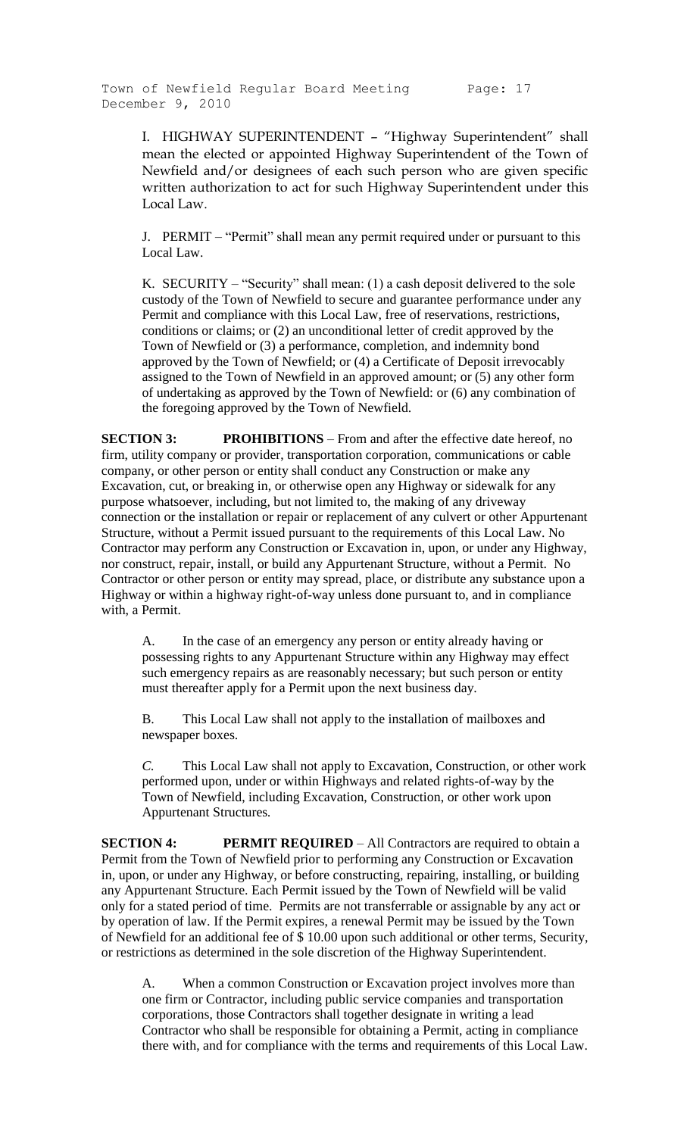Town of Newfield Regular Board Meeting Page: 17 December 9, 2010

I. HIGHWAY SUPERINTENDENT – "Highway Superintendent" shall mean the elected or appointed Highway Superintendent of the Town of Newfield and/or designees of each such person who are given specific written authorization to act for such Highway Superintendent under this Local Law.

J. PERMIT – "Permit" shall mean any permit required under or pursuant to this Local Law.

K. SECURITY – "Security" shall mean: (1) a cash deposit delivered to the sole custody of the Town of Newfield to secure and guarantee performance under any Permit and compliance with this Local Law, free of reservations, restrictions, conditions or claims; or (2) an unconditional letter of credit approved by the Town of Newfield or (3) a performance, completion, and indemnity bond approved by the Town of Newfield; or (4) a Certificate of Deposit irrevocably assigned to the Town of Newfield in an approved amount; or (5) any other form of undertaking as approved by the Town of Newfield: or (6) any combination of the foregoing approved by the Town of Newfield.

**SECTION 3: PROHIBITIONS** – From and after the effective date hereof, no firm, utility company or provider, transportation corporation, communications or cable company, or other person or entity shall conduct any Construction or make any Excavation, cut, or breaking in, or otherwise open any Highway or sidewalk for any purpose whatsoever, including, but not limited to, the making of any driveway connection or the installation or repair or replacement of any culvert or other Appurtenant Structure, without a Permit issued pursuant to the requirements of this Local Law. No Contractor may perform any Construction or Excavation in, upon, or under any Highway, nor construct, repair, install, or build any Appurtenant Structure, without a Permit. No Contractor or other person or entity may spread, place, or distribute any substance upon a Highway or within a highway right-of-way unless done pursuant to, and in compliance with, a Permit.

A. In the case of an emergency any person or entity already having or possessing rights to any Appurtenant Structure within any Highway may effect such emergency repairs as are reasonably necessary; but such person or entity must thereafter apply for a Permit upon the next business day.

B. This Local Law shall not apply to the installation of mailboxes and newspaper boxes.

*C.* This Local Law shall not apply to Excavation, Construction, or other work performed upon, under or within Highways and related rights-of-way by the Town of Newfield, including Excavation, Construction, or other work upon Appurtenant Structures*.*

**SECTION 4: PERMIT REQUIRED** – All Contractors are required to obtain a Permit from the Town of Newfield prior to performing any Construction or Excavation in, upon, or under any Highway, or before constructing, repairing, installing, or building any Appurtenant Structure. Each Permit issued by the Town of Newfield will be valid only for a stated period of time. Permits are not transferrable or assignable by any act or by operation of law. If the Permit expires, a renewal Permit may be issued by the Town of Newfield for an additional fee of \$ 10.00 upon such additional or other terms, Security, or restrictions as determined in the sole discretion of the Highway Superintendent.

A. When a common Construction or Excavation project involves more than one firm or Contractor, including public service companies and transportation corporations, those Contractors shall together designate in writing a lead Contractor who shall be responsible for obtaining a Permit, acting in compliance there with, and for compliance with the terms and requirements of this Local Law.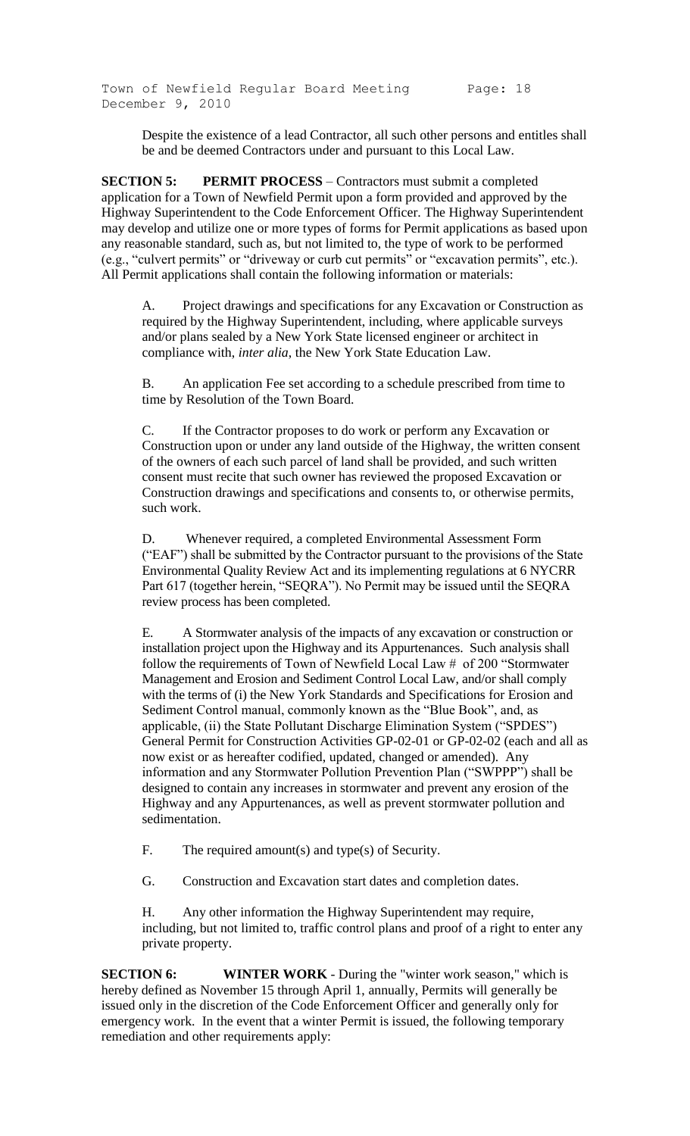Despite the existence of a lead Contractor, all such other persons and entitles shall be and be deemed Contractors under and pursuant to this Local Law.

**SECTION 5: PERMIT PROCESS** – Contractors must submit a completed application for a Town of Newfield Permit upon a form provided and approved by the Highway Superintendent to the Code Enforcement Officer. The Highway Superintendent may develop and utilize one or more types of forms for Permit applications as based upon any reasonable standard, such as, but not limited to, the type of work to be performed (e.g., "culvert permits" or "driveway or curb cut permits" or "excavation permits", etc.). All Permit applications shall contain the following information or materials:

A. Project drawings and specifications for any Excavation or Construction as required by the Highway Superintendent, including, where applicable surveys and/or plans sealed by a New York State licensed engineer or architect in compliance with, *inter alia*, the New York State Education Law.

B. An application Fee set according to a schedule prescribed from time to time by Resolution of the Town Board.

C. If the Contractor proposes to do work or perform any Excavation or Construction upon or under any land outside of the Highway, the written consent of the owners of each such parcel of land shall be provided, and such written consent must recite that such owner has reviewed the proposed Excavation or Construction drawings and specifications and consents to, or otherwise permits, such work.

D. Whenever required, a completed Environmental Assessment Form ("EAF") shall be submitted by the Contractor pursuant to the provisions of the State Environmental Quality Review Act and its implementing regulations at 6 NYCRR Part 617 (together herein, "SEQRA"). No Permit may be issued until the SEQRA review process has been completed.

E. A Stormwater analysis of the impacts of any excavation or construction or installation project upon the Highway and its Appurtenances. Such analysis shall follow the requirements of Town of Newfield Local Law # of 200 "Stormwater Management and Erosion and Sediment Control Local Law, and/or shall comply with the terms of (i) the New York Standards and Specifications for Erosion and Sediment Control manual, commonly known as the "Blue Book", and, as applicable, (ii) the State Pollutant Discharge Elimination System ("SPDES") General Permit for Construction Activities GP-02-01 or GP-02-02 (each and all as now exist or as hereafter codified, updated, changed or amended). Any information and any Stormwater Pollution Prevention Plan ("SWPPP") shall be designed to contain any increases in stormwater and prevent any erosion of the Highway and any Appurtenances, as well as prevent stormwater pollution and sedimentation.

F. The required amount(s) and type(s) of Security.

G. Construction and Excavation start dates and completion dates.

H. Any other information the Highway Superintendent may require, including, but not limited to, traffic control plans and proof of a right to enter any private property.

**SECTION 6:** WINTER WORK - During the "winter work season," which is hereby defined as November 15 through April 1, annually, Permits will generally be issued only in the discretion of the Code Enforcement Officer and generally only for emergency work. In the event that a winter Permit is issued, the following temporary remediation and other requirements apply: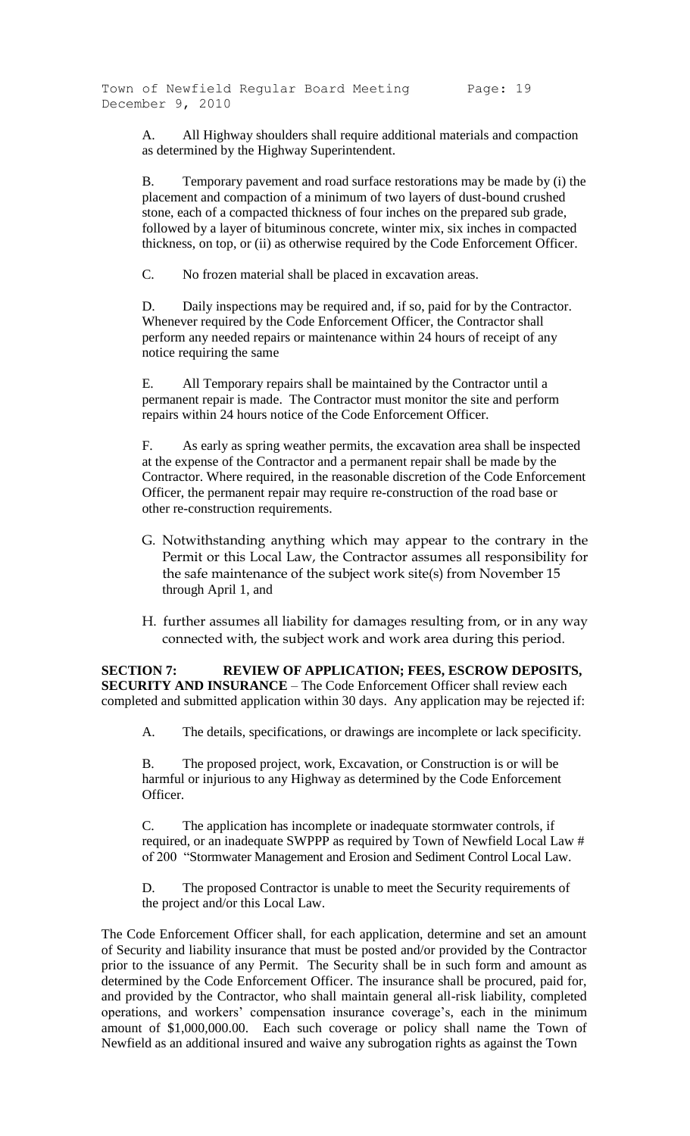A. All Highway shoulders shall require additional materials and compaction as determined by the Highway Superintendent.

B. Temporary pavement and road surface restorations may be made by (i) the placement and compaction of a minimum of two layers of dust-bound crushed stone, each of a compacted thickness of four inches on the prepared sub grade, followed by a layer of bituminous concrete, winter mix, six inches in compacted thickness, on top, or (ii) as otherwise required by the Code Enforcement Officer.

C. No frozen material shall be placed in excavation areas.

D. Daily inspections may be required and, if so, paid for by the Contractor. Whenever required by the Code Enforcement Officer, the Contractor shall perform any needed repairs or maintenance within 24 hours of receipt of any notice requiring the same

E. All Temporary repairs shall be maintained by the Contractor until a permanent repair is made. The Contractor must monitor the site and perform repairs within 24 hours notice of the Code Enforcement Officer.

F. As early as spring weather permits, the excavation area shall be inspected at the expense of the Contractor and a permanent repair shall be made by the Contractor. Where required, in the reasonable discretion of the Code Enforcement Officer, the permanent repair may require re-construction of the road base or other re-construction requirements.

- G. Notwithstanding anything which may appear to the contrary in the Permit or this Local Law, the Contractor assumes all responsibility for the safe maintenance of the subject work site(s) from November 15 through April 1, and
- H. further assumes all liability for damages resulting from, or in any way connected with, the subject work and work area during this period.

**SECTION 7: REVIEW OF APPLICATION; FEES, ESCROW DEPOSITS, SECURITY AND INSURANCE** – The Code Enforcement Officer shall review each completed and submitted application within 30 days. Any application may be rejected if:

A. The details, specifications, or drawings are incomplete or lack specificity.

B. The proposed project, work, Excavation, or Construction is or will be harmful or injurious to any Highway as determined by the Code Enforcement Officer.

C. The application has incomplete or inadequate stormwater controls, if required, or an inadequate SWPPP as required by Town of Newfield Local Law # of 200 "Stormwater Management and Erosion and Sediment Control Local Law.

D. The proposed Contractor is unable to meet the Security requirements of the project and/or this Local Law.

The Code Enforcement Officer shall, for each application, determine and set an amount of Security and liability insurance that must be posted and/or provided by the Contractor prior to the issuance of any Permit. The Security shall be in such form and amount as determined by the Code Enforcement Officer. The insurance shall be procured, paid for, and provided by the Contractor, who shall maintain general all-risk liability, completed operations, and workers' compensation insurance coverage's, each in the minimum amount of \$1,000,000.00. Each such coverage or policy shall name the Town of Newfield as an additional insured and waive any subrogation rights as against the Town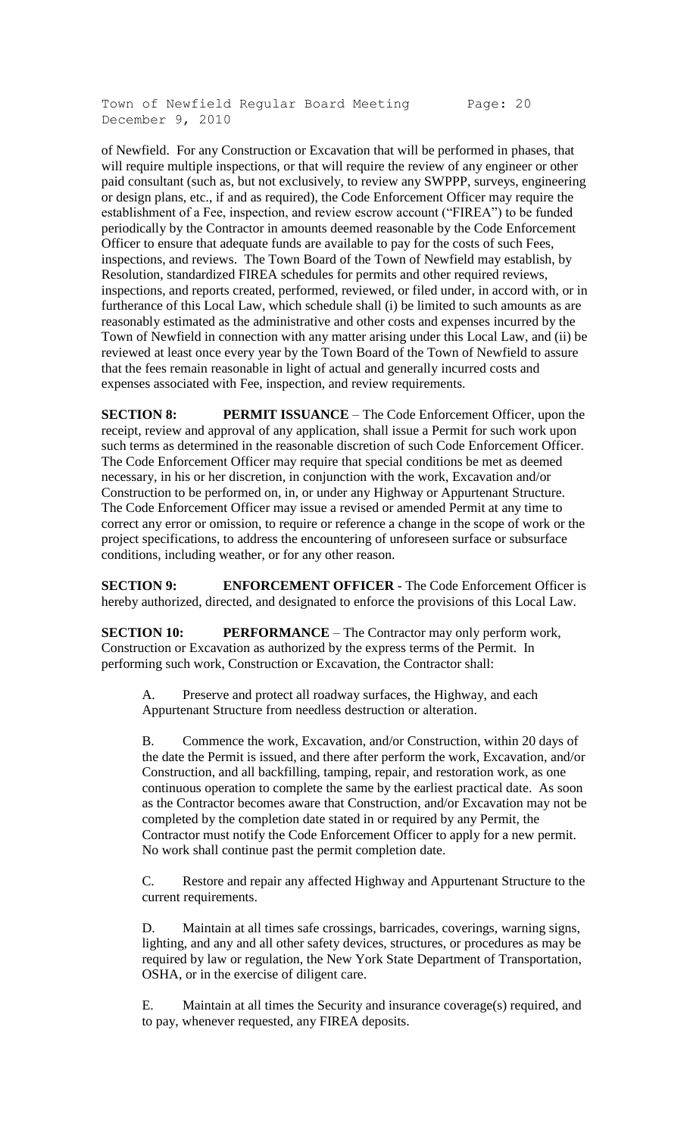Town of Newfield Regular Board Meeting Page: 20 December 9, 2010

of Newfield. For any Construction or Excavation that will be performed in phases, that will require multiple inspections, or that will require the review of any engineer or other paid consultant (such as, but not exclusively, to review any SWPPP, surveys, engineering or design plans, etc., if and as required), the Code Enforcement Officer may require the establishment of a Fee, inspection, and review escrow account ("FIREA") to be funded periodically by the Contractor in amounts deemed reasonable by the Code Enforcement Officer to ensure that adequate funds are available to pay for the costs of such Fees, inspections, and reviews. The Town Board of the Town of Newfield may establish, by Resolution, standardized FIREA schedules for permits and other required reviews, inspections, and reports created, performed, reviewed, or filed under, in accord with, or in furtherance of this Local Law, which schedule shall (i) be limited to such amounts as are reasonably estimated as the administrative and other costs and expenses incurred by the Town of Newfield in connection with any matter arising under this Local Law, and (ii) be reviewed at least once every year by the Town Board of the Town of Newfield to assure that the fees remain reasonable in light of actual and generally incurred costs and expenses associated with Fee, inspection, and review requirements.

**SECTION 8: PERMIT ISSUANCE** – The Code Enforcement Officer, upon the receipt, review and approval of any application, shall issue a Permit for such work upon such terms as determined in the reasonable discretion of such Code Enforcement Officer. The Code Enforcement Officer may require that special conditions be met as deemed necessary, in his or her discretion, in conjunction with the work, Excavation and/or Construction to be performed on, in, or under any Highway or Appurtenant Structure. The Code Enforcement Officer may issue a revised or amended Permit at any time to correct any error or omission, to require or reference a change in the scope of work or the project specifications, to address the encountering of unforeseen surface or subsurface conditions, including weather, or for any other reason.

**SECTION 9: ENFORCEMENT OFFICER** - The Code Enforcement Officer is hereby authorized, directed, and designated to enforce the provisions of this Local Law.

**SECTION 10: PERFORMANCE** – The Contractor may only perform work, Construction or Excavation as authorized by the express terms of the Permit. In performing such work, Construction or Excavation, the Contractor shall:

A. Preserve and protect all roadway surfaces, the Highway, and each Appurtenant Structure from needless destruction or alteration.

B. Commence the work, Excavation, and/or Construction, within 20 days of the date the Permit is issued, and there after perform the work, Excavation, and/or Construction, and all backfilling, tamping, repair, and restoration work, as one continuous operation to complete the same by the earliest practical date. As soon as the Contractor becomes aware that Construction, and/or Excavation may not be completed by the completion date stated in or required by any Permit, the Contractor must notify the Code Enforcement Officer to apply for a new permit. No work shall continue past the permit completion date.

C. Restore and repair any affected Highway and Appurtenant Structure to the current requirements.

D. Maintain at all times safe crossings, barricades, coverings, warning signs, lighting, and any and all other safety devices, structures, or procedures as may be required by law or regulation, the New York State Department of Transportation, OSHA, or in the exercise of diligent care.

E. Maintain at all times the Security and insurance coverage(s) required, and to pay, whenever requested, any FIREA deposits.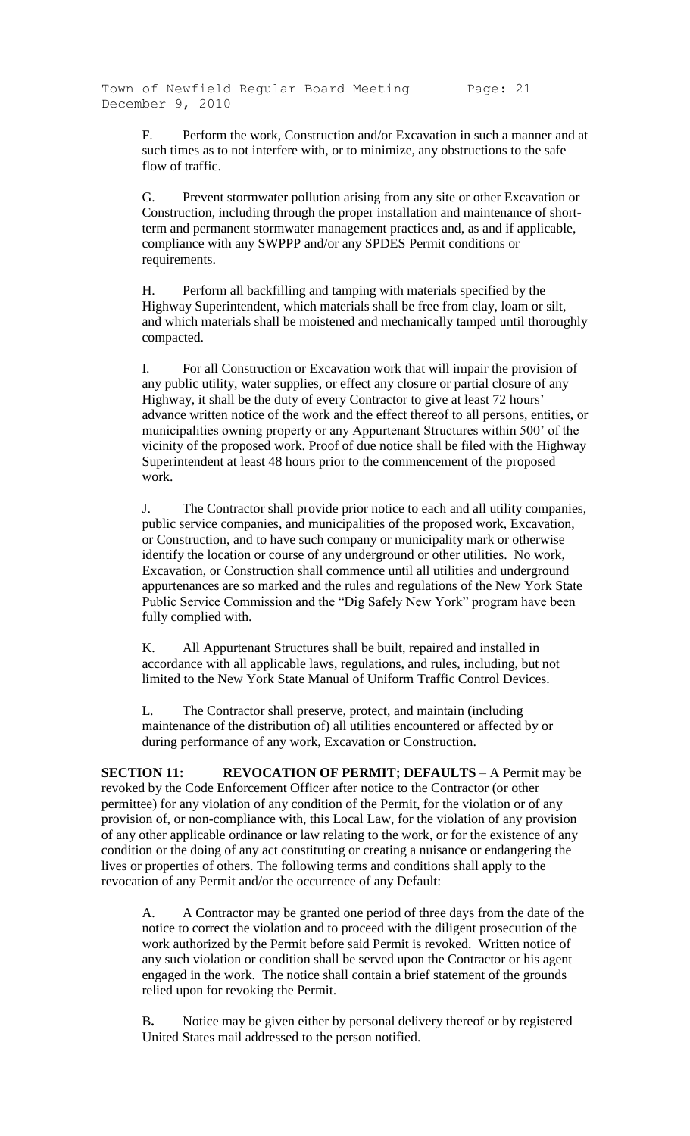Town of Newfield Regular Board Meeting Page: 21 December 9, 2010

F. Perform the work, Construction and/or Excavation in such a manner and at such times as to not interfere with, or to minimize, any obstructions to the safe flow of traffic.

G. Prevent stormwater pollution arising from any site or other Excavation or Construction, including through the proper installation and maintenance of shortterm and permanent stormwater management practices and, as and if applicable, compliance with any SWPPP and/or any SPDES Permit conditions or requirements.

H. Perform all backfilling and tamping with materials specified by the Highway Superintendent, which materials shall be free from clay, loam or silt, and which materials shall be moistened and mechanically tamped until thoroughly compacted.

I. For all Construction or Excavation work that will impair the provision of any public utility, water supplies, or effect any closure or partial closure of any Highway, it shall be the duty of every Contractor to give at least 72 hours' advance written notice of the work and the effect thereof to all persons, entities, or municipalities owning property or any Appurtenant Structures within 500' of the vicinity of the proposed work. Proof of due notice shall be filed with the Highway Superintendent at least 48 hours prior to the commencement of the proposed work.

J. The Contractor shall provide prior notice to each and all utility companies, public service companies, and municipalities of the proposed work, Excavation, or Construction, and to have such company or municipality mark or otherwise identify the location or course of any underground or other utilities. No work, Excavation, or Construction shall commence until all utilities and underground appurtenances are so marked and the rules and regulations of the New York State Public Service Commission and the "Dig Safely New York" program have been fully complied with.

K. All Appurtenant Structures shall be built, repaired and installed in accordance with all applicable laws, regulations, and rules, including, but not limited to the New York State Manual of Uniform Traffic Control Devices.

L. The Contractor shall preserve, protect, and maintain (including maintenance of the distribution of) all utilities encountered or affected by or during performance of any work, Excavation or Construction.

**SECTION 11: REVOCATION OF PERMIT; DEFAULTS** – A Permit may be revoked by the Code Enforcement Officer after notice to the Contractor (or other permittee) for any violation of any condition of the Permit, for the violation or of any provision of, or non-compliance with, this Local Law, for the violation of any provision of any other applicable ordinance or law relating to the work, or for the existence of any condition or the doing of any act constituting or creating a nuisance or endangering the lives or properties of others. The following terms and conditions shall apply to the revocation of any Permit and/or the occurrence of any Default:

A. A Contractor may be granted one period of three days from the date of the notice to correct the violation and to proceed with the diligent prosecution of the work authorized by the Permit before said Permit is revoked. Written notice of any such violation or condition shall be served upon the Contractor or his agent engaged in the work. The notice shall contain a brief statement of the grounds relied upon for revoking the Permit.

B**.** Notice may be given either by personal delivery thereof or by registered United States mail addressed to the person notified.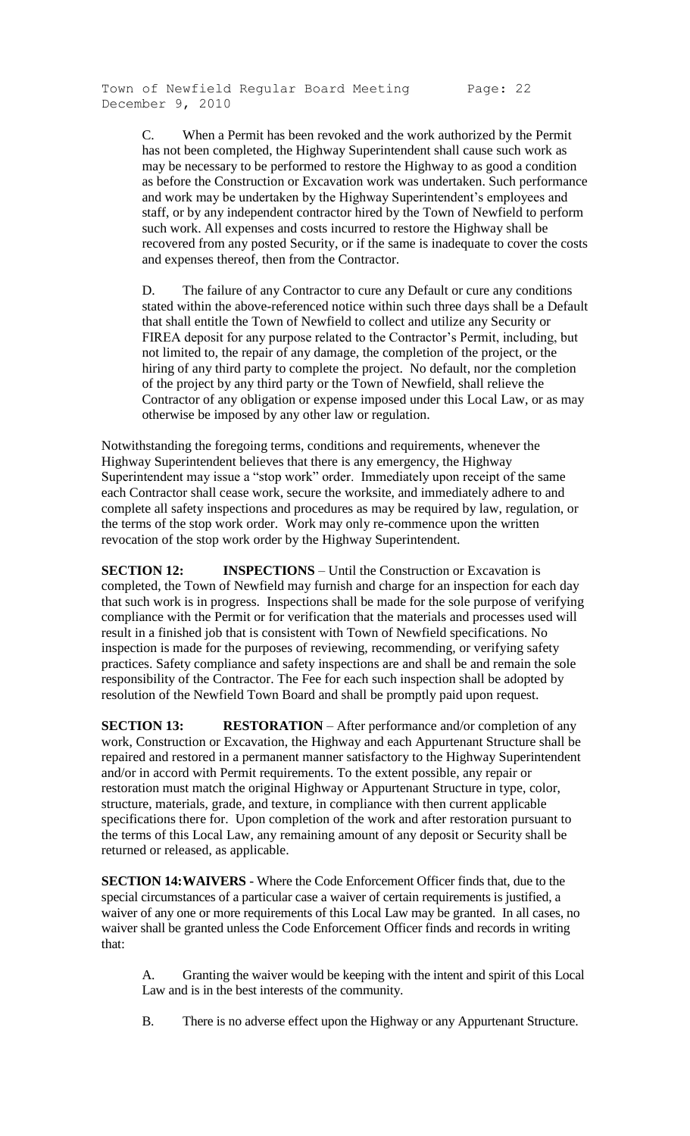Town of Newfield Regular Board Meeting Page: 22 December 9, 2010

C. When a Permit has been revoked and the work authorized by the Permit has not been completed, the Highway Superintendent shall cause such work as may be necessary to be performed to restore the Highway to as good a condition as before the Construction or Excavation work was undertaken. Such performance and work may be undertaken by the Highway Superintendent's employees and staff, or by any independent contractor hired by the Town of Newfield to perform such work. All expenses and costs incurred to restore the Highway shall be recovered from any posted Security, or if the same is inadequate to cover the costs and expenses thereof, then from the Contractor.

D. The failure of any Contractor to cure any Default or cure any conditions stated within the above-referenced notice within such three days shall be a Default that shall entitle the Town of Newfield to collect and utilize any Security or FIREA deposit for any purpose related to the Contractor's Permit, including, but not limited to, the repair of any damage, the completion of the project, or the hiring of any third party to complete the project. No default, nor the completion of the project by any third party or the Town of Newfield, shall relieve the Contractor of any obligation or expense imposed under this Local Law, or as may otherwise be imposed by any other law or regulation.

Notwithstanding the foregoing terms, conditions and requirements, whenever the Highway Superintendent believes that there is any emergency, the Highway Superintendent may issue a "stop work" order. Immediately upon receipt of the same each Contractor shall cease work, secure the worksite, and immediately adhere to and complete all safety inspections and procedures as may be required by law, regulation, or the terms of the stop work order. Work may only re-commence upon the written revocation of the stop work order by the Highway Superintendent.

**SECTION 12: INSPECTIONS** – Until the Construction or Excavation is completed, the Town of Newfield may furnish and charge for an inspection for each day that such work is in progress. Inspections shall be made for the sole purpose of verifying compliance with the Permit or for verification that the materials and processes used will result in a finished job that is consistent with Town of Newfield specifications. No inspection is made for the purposes of reviewing, recommending, or verifying safety practices. Safety compliance and safety inspections are and shall be and remain the sole responsibility of the Contractor. The Fee for each such inspection shall be adopted by resolution of the Newfield Town Board and shall be promptly paid upon request.

**SECTION 13: RESTORATION** – After performance and/or completion of any work, Construction or Excavation, the Highway and each Appurtenant Structure shall be repaired and restored in a permanent manner satisfactory to the Highway Superintendent and/or in accord with Permit requirements. To the extent possible, any repair or restoration must match the original Highway or Appurtenant Structure in type, color, structure, materials, grade, and texture, in compliance with then current applicable specifications there for. Upon completion of the work and after restoration pursuant to the terms of this Local Law, any remaining amount of any deposit or Security shall be returned or released, as applicable.

**SECTION 14:WAIVERS** - Where the Code Enforcement Officer finds that, due to the special circumstances of a particular case a waiver of certain requirements is justified, a waiver of any one or more requirements of this Local Law may be granted. In all cases, no waiver shall be granted unless the Code Enforcement Officer finds and records in writing that:

A. Granting the waiver would be keeping with the intent and spirit of this Local Law and is in the best interests of the community.

B. There is no adverse effect upon the Highway or any Appurtenant Structure.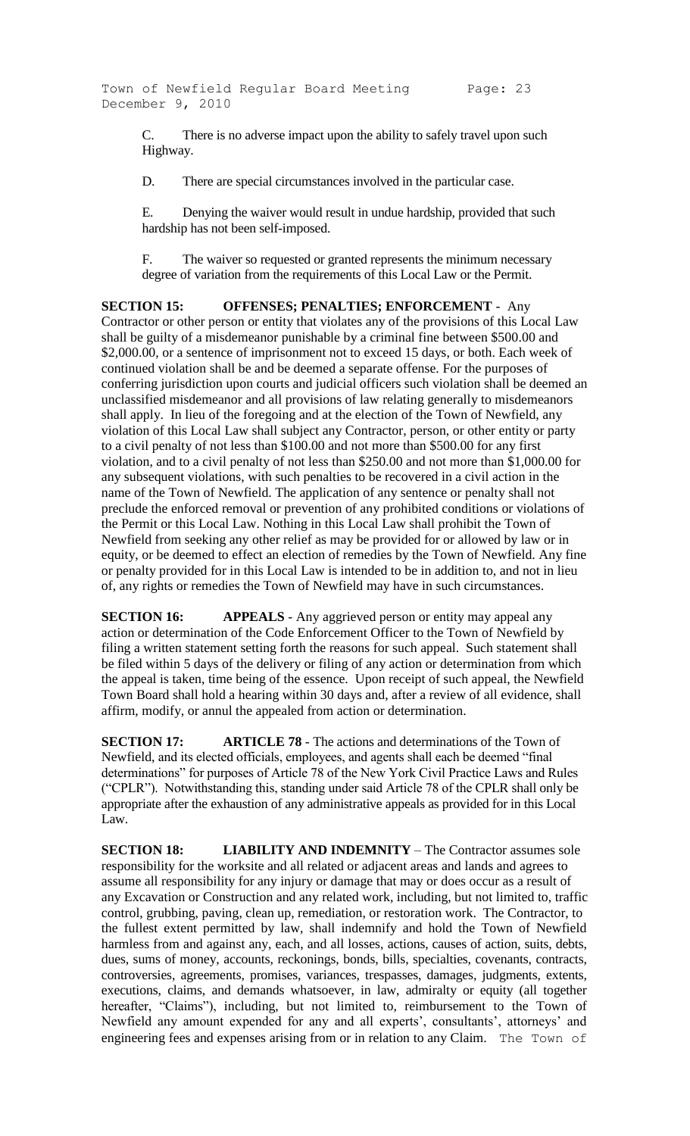Town of Newfield Regular Board Meeting Page: 23 December 9, 2010

C. There is no adverse impact upon the ability to safely travel upon such Highway.

D. There are special circumstances involved in the particular case.

E. Denying the waiver would result in undue hardship, provided that such hardship has not been self-imposed.

F. The waiver so requested or granted represents the minimum necessary degree of variation from the requirements of this Local Law or the Permit.

**SECTION 15: OFFENSES; PENALTIES; ENFORCEMENT** - Any Contractor or other person or entity that violates any of the provisions of this Local Law shall be guilty of a misdemeanor punishable by a criminal fine between \$500.00 and \$2,000.00, or a sentence of imprisonment not to exceed 15 days, or both. Each week of continued violation shall be and be deemed a separate offense. For the purposes of conferring jurisdiction upon courts and judicial officers such violation shall be deemed an unclassified misdemeanor and all provisions of law relating generally to misdemeanors shall apply. In lieu of the foregoing and at the election of the Town of Newfield, any violation of this Local Law shall subject any Contractor, person, or other entity or party to a civil penalty of not less than \$100.00 and not more than \$500.00 for any first violation, and to a civil penalty of not less than \$250.00 and not more than \$1,000.00 for any subsequent violations, with such penalties to be recovered in a civil action in the name of the Town of Newfield. The application of any sentence or penalty shall not preclude the enforced removal or prevention of any prohibited conditions or violations of the Permit or this Local Law. Nothing in this Local Law shall prohibit the Town of Newfield from seeking any other relief as may be provided for or allowed by law or in equity, or be deemed to effect an election of remedies by the Town of Newfield. Any fine or penalty provided for in this Local Law is intended to be in addition to, and not in lieu of, any rights or remedies the Town of Newfield may have in such circumstances.

**SECTION 16: APPEALS** - Any aggrieved person or entity may appeal any action or determination of the Code Enforcement Officer to the Town of Newfield by filing a written statement setting forth the reasons for such appeal. Such statement shall be filed within 5 days of the delivery or filing of any action or determination from which the appeal is taken, time being of the essence. Upon receipt of such appeal, the Newfield Town Board shall hold a hearing within 30 days and, after a review of all evidence, shall affirm, modify, or annul the appealed from action or determination.

**SECTION 17: ARTICLE 78** - The actions and determinations of the Town of Newfield, and its elected officials, employees, and agents shall each be deemed "final determinations" for purposes of Article 78 of the New York Civil Practice Laws and Rules ("CPLR"). Notwithstanding this, standing under said Article 78 of the CPLR shall only be appropriate after the exhaustion of any administrative appeals as provided for in this Local Law.

**SECTION 18: LIABILITY AND INDEMNITY** – The Contractor assumes sole responsibility for the worksite and all related or adjacent areas and lands and agrees to assume all responsibility for any injury or damage that may or does occur as a result of any Excavation or Construction and any related work, including, but not limited to, traffic control, grubbing, paving, clean up, remediation, or restoration work. The Contractor, to the fullest extent permitted by law, shall indemnify and hold the Town of Newfield harmless from and against any, each, and all losses, actions, causes of action, suits, debts, dues, sums of money, accounts, reckonings, bonds, bills, specialties, covenants, contracts, controversies, agreements, promises, variances, trespasses, damages, judgments, extents, executions, claims, and demands whatsoever, in law, admiralty or equity (all together hereafter, "Claims"), including, but not limited to, reimbursement to the Town of Newfield any amount expended for any and all experts', consultants', attorneys' and engineering fees and expenses arising from or in relation to any Claim. The Town of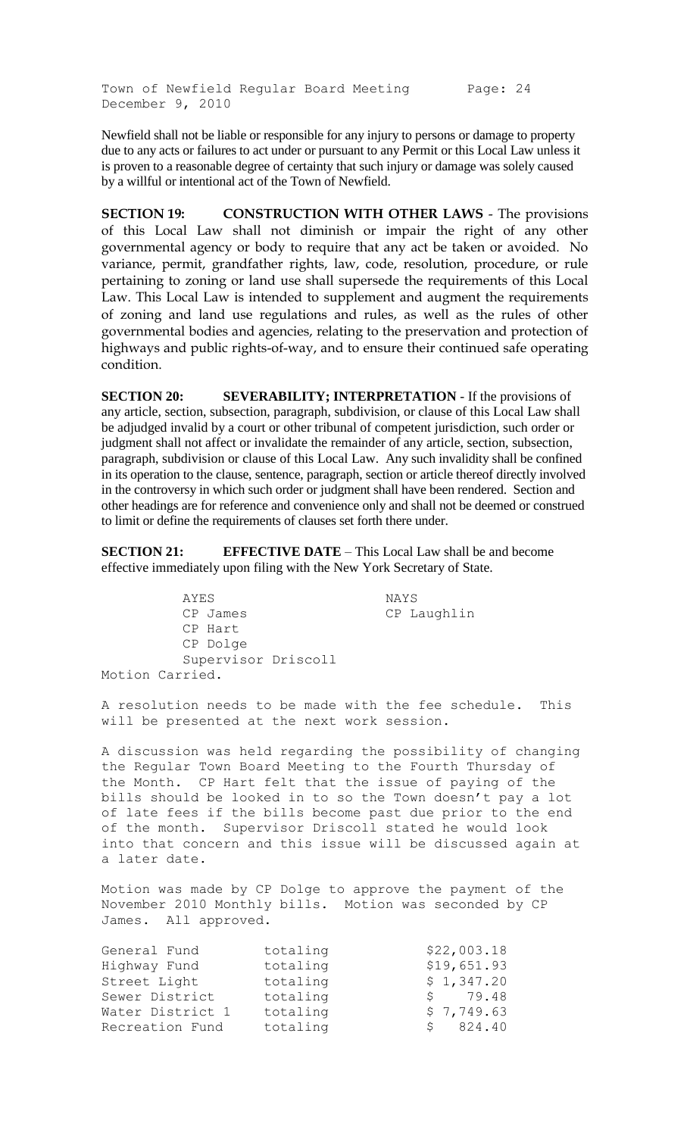Town of Newfield Regular Board Meeting Page: 24 December 9, 2010

Newfield shall not be liable or responsible for any injury to persons or damage to property due to any acts or failures to act under or pursuant to any Permit or this Local Law unless it is proven to a reasonable degree of certainty that such injury or damage was solely caused by a willful or intentional act of the Town of Newfield.

**SECTION 19: CONSTRUCTION WITH OTHER LAWS** - The provisions of this Local Law shall not diminish or impair the right of any other governmental agency or body to require that any act be taken or avoided. No variance, permit, grandfather rights, law, code, resolution, procedure, or rule pertaining to zoning or land use shall supersede the requirements of this Local Law. This Local Law is intended to supplement and augment the requirements of zoning and land use regulations and rules, as well as the rules of other governmental bodies and agencies, relating to the preservation and protection of highways and public rights-of-way, and to ensure their continued safe operating condition.

**SECTION 20: SEVERABILITY; INTERPRETATION** - If the provisions of any article, section, subsection, paragraph, subdivision, or clause of this Local Law shall be adjudged invalid by a court or other tribunal of competent jurisdiction, such order or judgment shall not affect or invalidate the remainder of any article, section, subsection, paragraph, subdivision or clause of this Local Law. Any such invalidity shall be confined in its operation to the clause, sentence, paragraph, section or article thereof directly involved in the controversy in which such order or judgment shall have been rendered. Section and other headings are for reference and convenience only and shall not be deemed or construed to limit or define the requirements of clauses set forth there under.

**SECTION 21: EFFECTIVE DATE** – This Local Law shall be and become effective immediately upon filing with the New York Secretary of State.

AYES NAYS CP James CP Laughlin CP Hart CP Dolge Supervisor Driscoll Motion Carried.

A resolution needs to be made with the fee schedule. This will be presented at the next work session.

A discussion was held regarding the possibility of changing the Regular Town Board Meeting to the Fourth Thursday of the Month. CP Hart felt that the issue of paying of the bills should be looked in to so the Town doesn't pay a lot of late fees if the bills become past due prior to the end of the month. Supervisor Driscoll stated he would look into that concern and this issue will be discussed again at a later date.

Motion was made by CP Dolge to approve the payment of the November 2010 Monthly bills. Motion was seconded by CP James. All approved.

| totaling | \$22,003.18 |
|----------|-------------|
| totaling | \$19,651.93 |
| totaling | \$1,347.20  |
| totaling | \$79.48     |
| totaling | \$7,749.63  |
| totaling | \$824.40    |
|          |             |